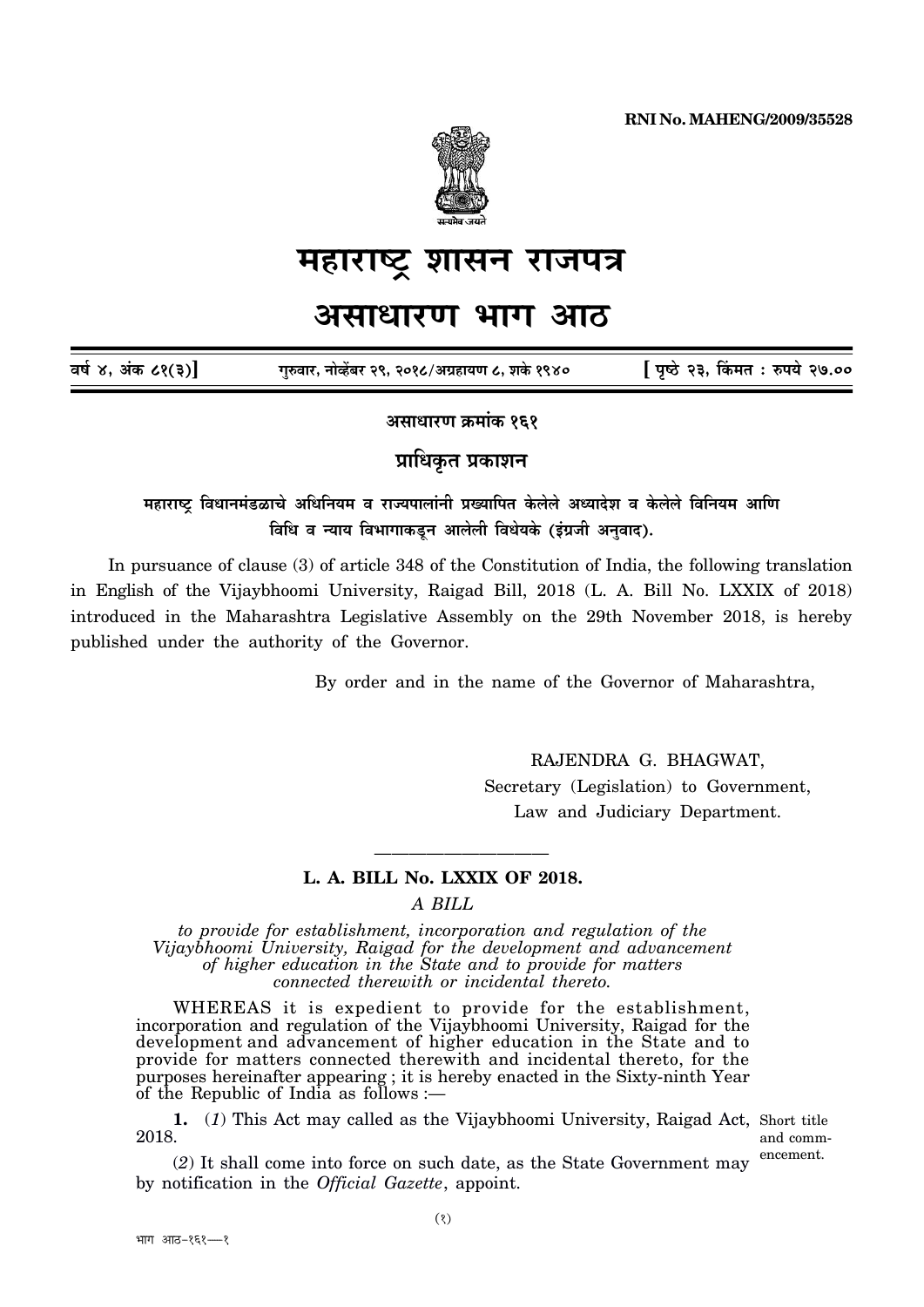

# महाराष्ट्र शासन राजपत्र

## <u>असाधारण भाग आठ</u>

| वर्ष ४, अंक ८१(३)] | गुरुवार, नोव्हेंबर २९, २०१८/अग्रहायण ८, शके १९४० | [ पृष्ठे २३, किंमत : रुपये २७.०० |
|--------------------|--------------------------------------------------|----------------------------------|
|--------------------|--------------------------------------------------|----------------------------------|

असाधारण क्रमांक १**६**१

**प्राधिकत प्रकाशन** 

### <u>महाराष्ट्र</u> विधानमंडळाचे अधिनियम व राज्यपालांनी प्रख्यापित केलेले अध्यादेश व केलेले विनियम आणि <u>विधि व न्याय विभागाकडून आलेली विधेयके (इंग्रजी अनुवाद).</u>

In pursuance of clause (3) of article 348 of the Constitution of India, the following translation in English of the Vijaybhoomi University, Raigad Bill, 2018 (L. A. Bill No. LXXIX of 2018) introduced in the Maharashtra Legislative Assembly on the 29th November 2018, is hereby published under the authority of the Governor.

By order and in the name of the Governor of Maharashtra,

——————————

RAJENDRA G. BHAGWAT, Secretary (Legislation) to Government, Law and Judiciary Department.

#### **L. A. BILL No. LXXIX OF 2018.**

*A BILL*

*to provide for establishment, incorporation and regulation of the Vijaybhoomi University, Raigad for the development and advancement of higher education in the State and to provide for matters connected therewith or incidental thereto.*

WHEREAS it is expedient to provide for the establishment, incorporation and regulation of the Vijaybhoomi University, Raigad for the development and advancement of higher education in the State and to provide for matters connected therewith and incidental thereto, for the purposes hereinafter appearing ; it is hereby enacted in the Sixty-ninth Year of the Republic of India as follows :—

**1.** (*1*) This Act may called as the Vijaybhoomi University, Raigad Act, Short title 2018.

and commencement.

(*2*) It shall come into force on such date, as the State Government may by notification in the *Official Gazette*, appoint.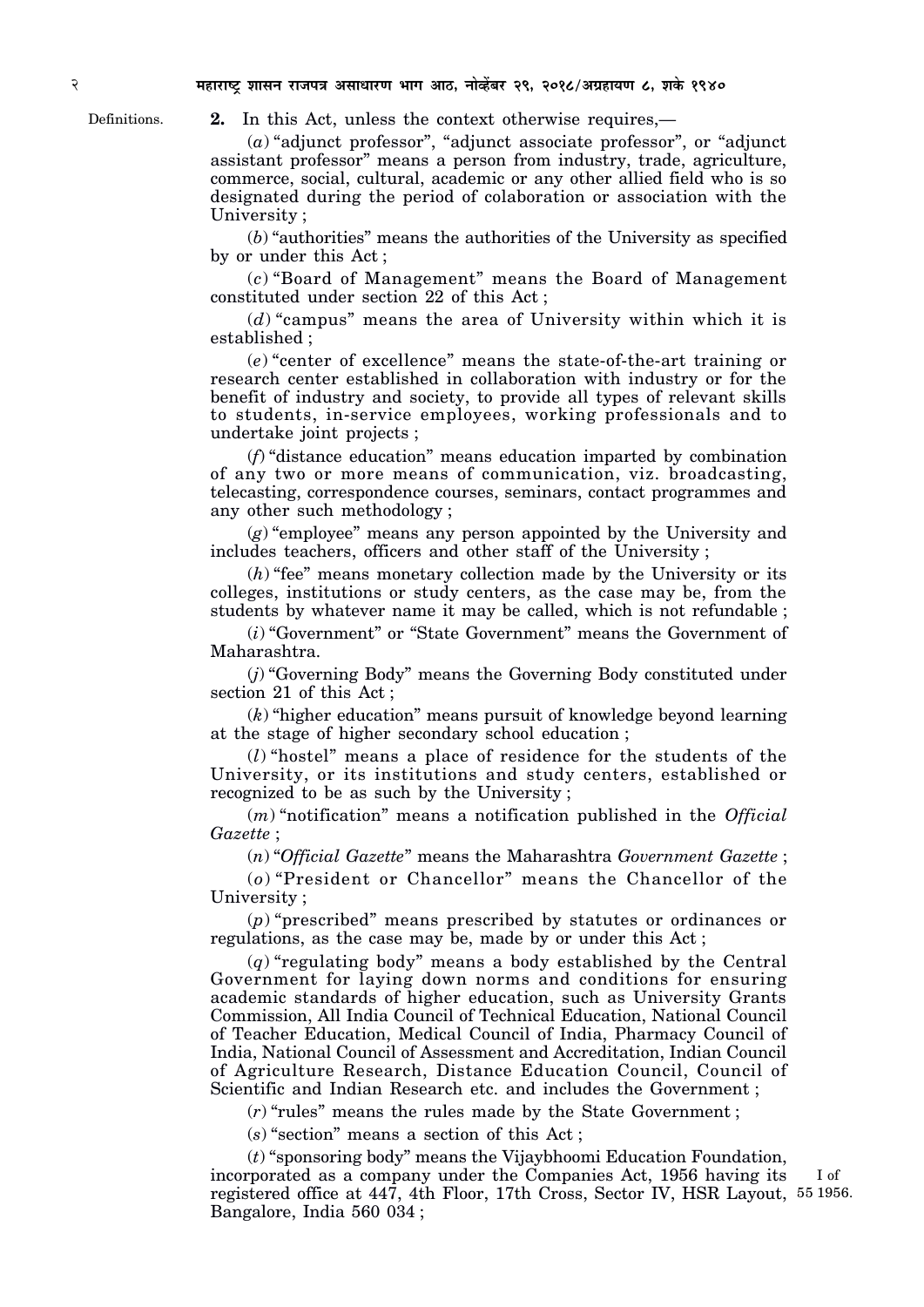Definitions.

**2.** In this Act, unless the context otherwise requires,—

(*a*) "adjunct professor", "adjunct associate professor", or "adjunct assistant professor" means a person from industry, trade, agriculture, commerce, social, cultural, academic or any other allied field who is so designated during the period of colaboration or association with the University ;

(*b*) "authorities" means the authorities of the University as specified by or under this Act ;

(*c*) "Board of Management" means the Board of Management constituted under section 22 of this Act ;

(*d*) "campus" means the area of University within which it is established ;

(*e*) "center of excellence" means the state-of-the-art training or research center established in collaboration with industry or for the benefit of industry and society, to provide all types of relevant skills to students, in-service employees, working professionals and to undertake joint projects ;

(*f*) "distance education" means education imparted by combination of any two or more means of communication, viz. broadcasting, telecasting, correspondence courses, seminars, contact programmes and any other such methodology ;

(*g*) "employee" means any person appointed by the University and includes teachers, officers and other staff of the University ;

(*h*) "fee" means monetary collection made by the University or its colleges, institutions or study centers, as the case may be, from the students by whatever name it may be called, which is not refundable ;

(*i*) "Government" or "State Government" means the Government of Maharashtra.

(*j*) "Governing Body" means the Governing Body constituted under section 21 of this Act:

(*k*) "higher education" means pursuit of knowledge beyond learning at the stage of higher secondary school education ;

(*l*) "hostel" means a place of residence for the students of the University, or its institutions and study centers, established or recognized to be as such by the University ;

(*m*) "notification" means a notification published in the *Official Gazette* ;

(*n*) "*Official Gazette*" means the Maharashtra *Government Gazette* ;

(*o*) "President or Chancellor" means the Chancellor of the University ;

(*p*) "prescribed" means prescribed by statutes or ordinances or regulations, as the case may be, made by or under this Act ;

(*q*) "regulating body" means a body established by the Central Government for laying down norms and conditions for ensuring academic standards of higher education, such as University Grants Commission, All India Council of Technical Education, National Council of Teacher Education, Medical Council of India, Pharmacy Council of India, National Council of Assessment and Accreditation, Indian Council of Agriculture Research, Distance Education Council, Council of Scientific and Indian Research etc. and includes the Government ;

(*r*) "rules" means the rules made by the State Government ;

(*s*) "section" means a section of this Act ;

(*t*) "sponsoring body" means the Vijaybhoomi Education Foundation, incorporated as a company under the Companies Act, 1956 having its registered office at 447, 4th Floor, 17th Cross, Sector IV, HSR Layout, 55 1956.Bangalore, India 560 034 ; I of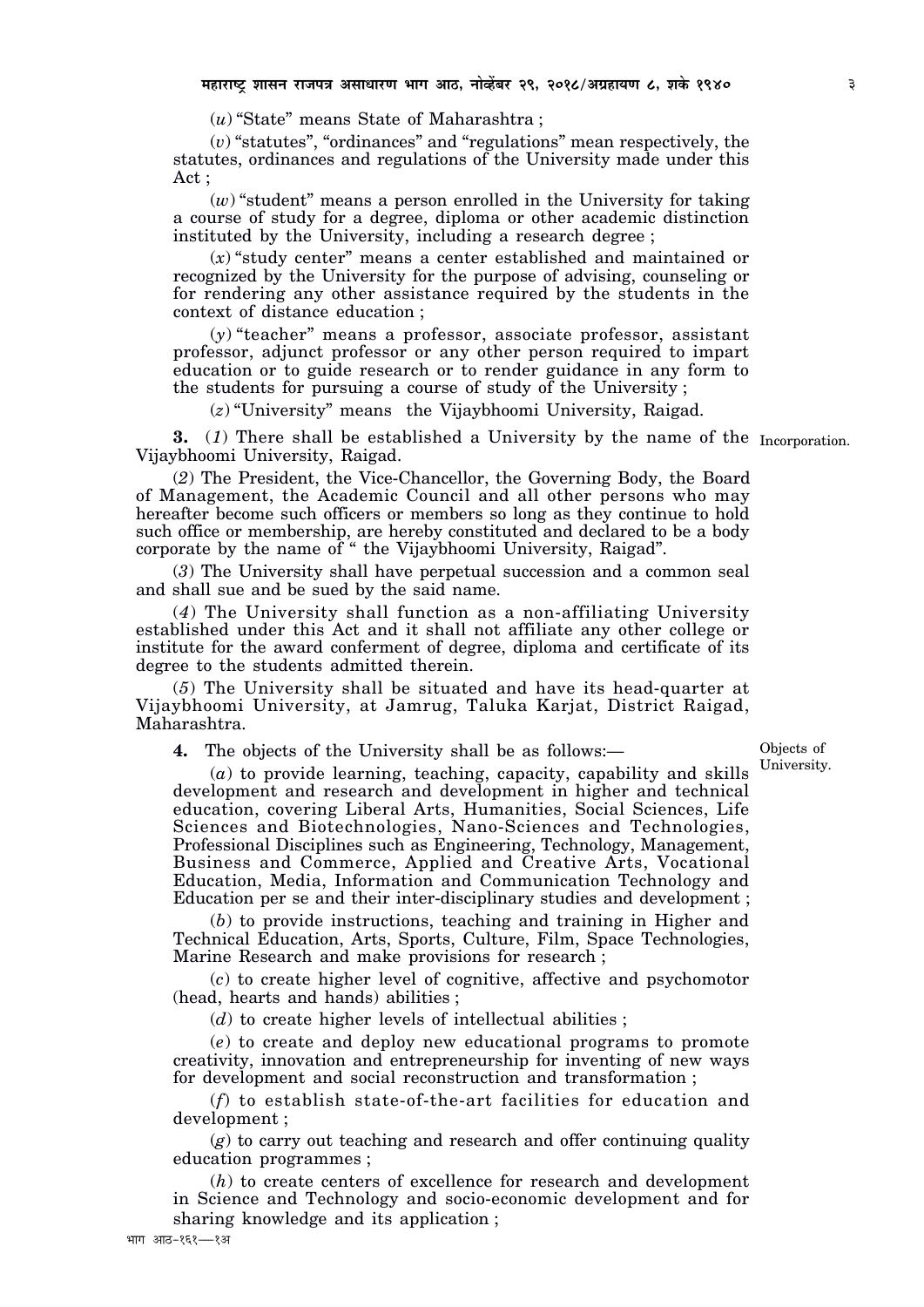(*u*) "State" means State of Maharashtra ;

(*v*) "statutes", "ordinances" and "regulations" mean respectively, the statutes, ordinances and regulations of the University made under this Act ;

(*w*) "student" means a person enrolled in the University for taking a course of study for a degree, diploma or other academic distinction instituted by the University, including a research degree ;

(*x*) "study center" means a center established and maintained or recognized by the University for the purpose of advising, counseling or for rendering any other assistance required by the students in the context of distance education ;

(*y*) "teacher" means a professor, associate professor, assistant professor, adjunct professor or any other person required to impart education or to guide research or to render guidance in any form to the students for pursuing a course of study of the University ;

(*z*) "University" means the Vijaybhoomi University, Raigad.

**3.** (*1*) There shall be established a University by the name of the Incorporation. Vijaybhoomi University, Raigad.

(*2*) The President, the Vice-Chancellor, the Governing Body, the Board of Management, the Academic Council and all other persons who may hereafter become such officers or members so long as they continue to hold such office or membership, are hereby constituted and declared to be a body corporate by the name of " the Vijaybhoomi University, Raigad".

(*3*) The University shall have perpetual succession and a common seal and shall sue and be sued by the said name.

(*4*) The University shall function as a non-affiliating University established under this Act and it shall not affiliate any other college or institute for the award conferment of degree, diploma and certificate of its degree to the students admitted therein.

(*5*) The University shall be situated and have its head-quarter at Vijaybhoomi University, at Jamrug, Taluka Karjat, District Raigad, Maharashtra.

**4.** The objects of the University shall be as follows:—

Objects of University.

(*a*) to provide learning, teaching, capacity, capability and skills development and research and development in higher and technical education, covering Liberal Arts, Humanities, Social Sciences, Life Sciences and Biotechnologies, Nano-Sciences and Technologies, Professional Disciplines such as Engineering, Technology, Management, Business and Commerce, Applied and Creative Arts, Vocational Education, Media, Information and Communication Technology and Education per se and their inter-disciplinary studies and development ;

(*b*) to provide instructions, teaching and training in Higher and Technical Education, Arts, Sports, Culture, Film, Space Technologies, Marine Research and make provisions for research ;

(*c*) to create higher level of cognitive, affective and psychomotor (head, hearts and hands) abilities ;

(*d*) to create higher levels of intellectual abilities ;

(*e*) to create and deploy new educational programs to promote creativity, innovation and entrepreneurship for inventing of new ways for development and social reconstruction and transformation ;

(*f*) to establish state-of-the-art facilities for education and development ;

(*g*) to carry out teaching and research and offer continuing quality education programmes ;

(*h*) to create centers of excellence for research and development in Science and Technology and socio-economic development and for sharing knowledge and its application ;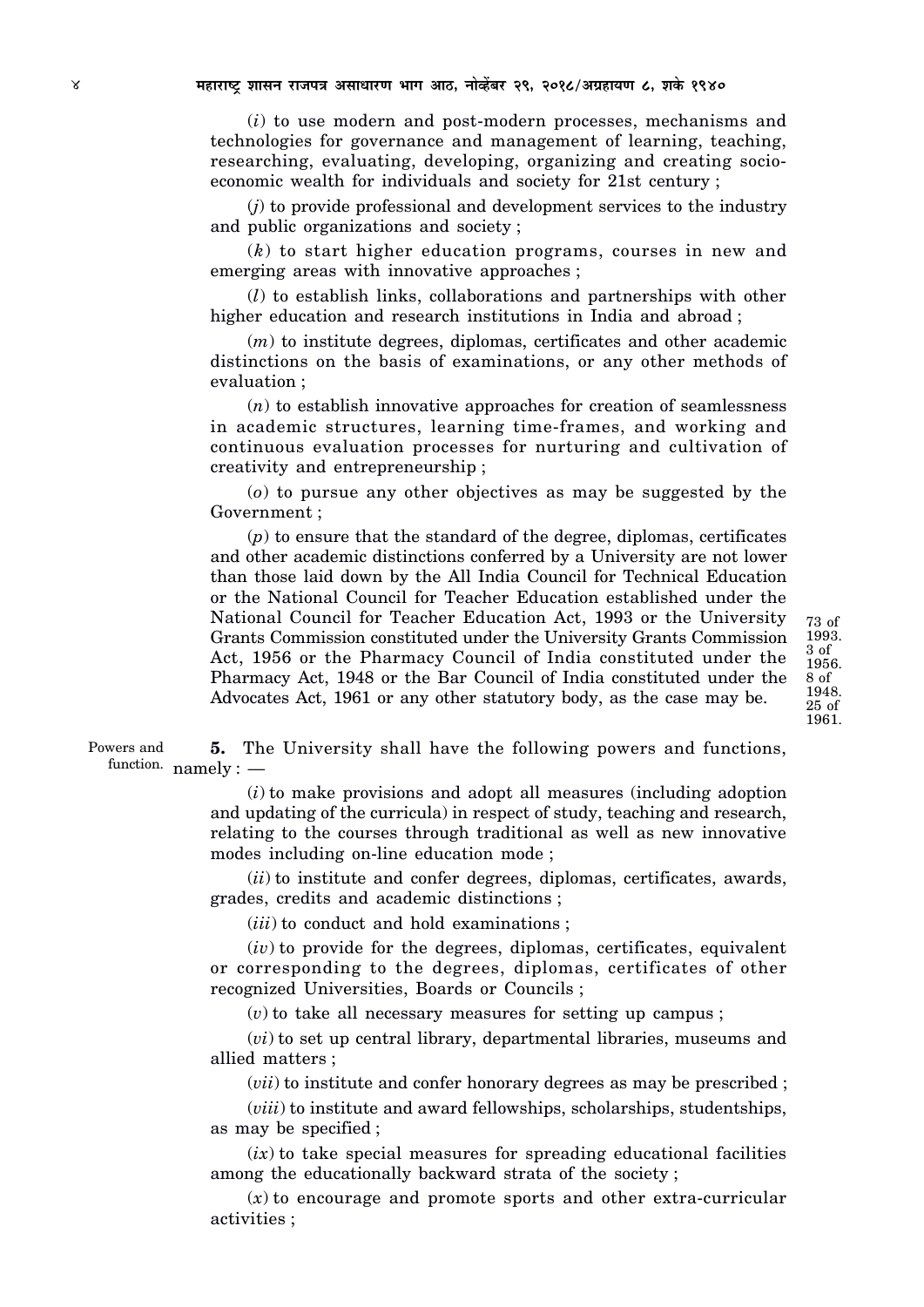(*i*) to use modern and post-modern processes, mechanisms and technologies for governance and management of learning, teaching, researching, evaluating, developing, organizing and creating socioeconomic wealth for individuals and society for 21st century ;

(*j*) to provide professional and development services to the industry and public organizations and society ;

(*k*) to start higher education programs, courses in new and emerging areas with innovative approaches ;

(*l*) to establish links, collaborations and partnerships with other higher education and research institutions in India and abroad ;

(*m*) to institute degrees, diplomas, certificates and other academic distinctions on the basis of examinations, or any other methods of evaluation ;

(*n*) to establish innovative approaches for creation of seamlessness in academic structures, learning time-frames, and working and continuous evaluation processes for nurturing and cultivation of creativity and entrepreneurship ;

(*o*) to pursue any other objectives as may be suggested by the Government ;

(*p*) to ensure that the standard of the degree, diplomas, certificates and other academic distinctions conferred by a University are not lower than those laid down by the All India Council for Technical Education or the National Council for Teacher Education established under the National Council for Teacher Education Act, 1993 or the University Grants Commission constituted under the University Grants Commission Act, 1956 or the Pharmacy Council of India constituted under the Pharmacy Act, 1948 or the Bar Council of India constituted under the Advocates Act, 1961 or any other statutory body, as the case may be.

**5.** The University shall have the following powers and functions,  $\text{function.} \ \ \text{namely:} \ -$ Powers and

> (*i*) to make provisions and adopt all measures (including adoption and updating of the curricula) in respect of study, teaching and research, relating to the courses through traditional as well as new innovative modes including on-line education mode ;

> (*ii*) to institute and confer degrees, diplomas, certificates, awards, grades, credits and academic distinctions ;

(*iii*) to conduct and hold examinations ;

 $(iv)$  to provide for the degrees, diplomas, certificates, equivalent or corresponding to the degrees, diplomas, certificates of other recognized Universities, Boards or Councils ;

(*v*) to take all necessary measures for setting up campus ;

(*vi*) to set up central library, departmental libraries, museums and allied matters ;

(*vii*) to institute and confer honorary degrees as may be prescribed ;

(*viii*) to institute and award fellowships, scholarships, studentships, as may be specified ;

 $(ix)$  to take special measures for spreading educational facilities among the educationally backward strata of the society ;

(*x*) to encourage and promote sports and other extra-curricular activities ;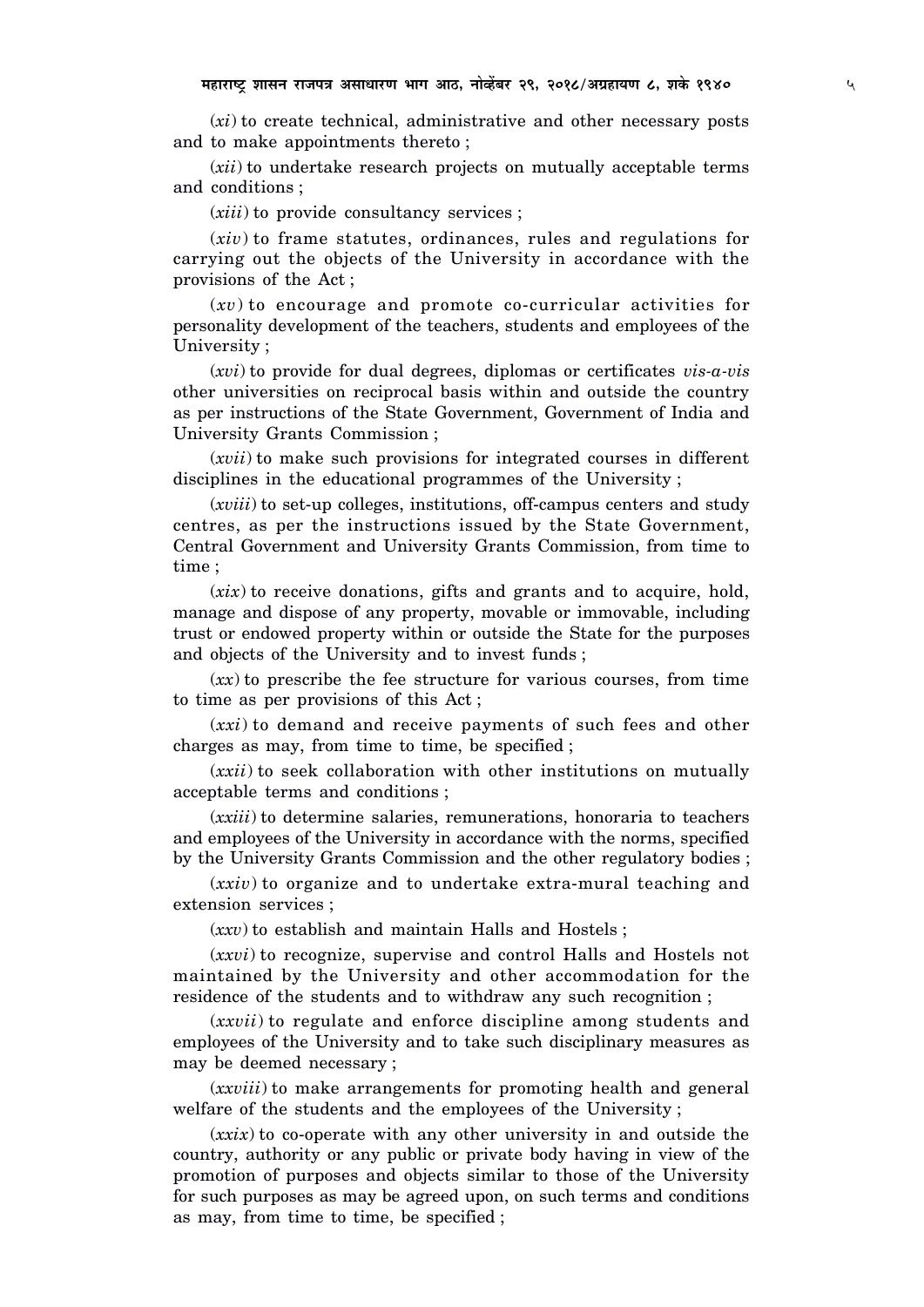(*xi*) to create technical, administrative and other necessary posts and to make appointments thereto ;

(*xii*) to undertake research projects on mutually acceptable terms and conditions ;

(*xiii*) to provide consultancy services ;

(*xiv*) to frame statutes, ordinances, rules and regulations for carrying out the objects of the University in accordance with the provisions of the Act ;

(*xv*) to encourage and promote co-curricular activities for personality development of the teachers, students and employees of the University ;

(*xvi*) to provide for dual degrees, diplomas or certificates *vis-a-vis* other universities on reciprocal basis within and outside the country as per instructions of the State Government, Government of India and University Grants Commission ;

(*xvii*) to make such provisions for integrated courses in different disciplines in the educational programmes of the University ;

(*xviii*) to set-up colleges, institutions, off-campus centers and study centres, as per the instructions issued by the State Government, Central Government and University Grants Commission, from time to time ;

(*xix*) to receive donations, gifts and grants and to acquire, hold, manage and dispose of any property, movable or immovable, including trust or endowed property within or outside the State for the purposes and objects of the University and to invest funds ;

(*xx*) to prescribe the fee structure for various courses, from time to time as per provisions of this Act ;

(*xxi*) to demand and receive payments of such fees and other charges as may, from time to time, be specified ;

(*xxii*) to seek collaboration with other institutions on mutually acceptable terms and conditions ;

(*xxiii*) to determine salaries, remunerations, honoraria to teachers and employees of the University in accordance with the norms, specified by the University Grants Commission and the other regulatory bodies ;

(*xxiv*) to organize and to undertake extra-mural teaching and extension services ;

(*xxv*) to establish and maintain Halls and Hostels ;

(*xxvi*) to recognize, supervise and control Halls and Hostels not maintained by the University and other accommodation for the residence of the students and to withdraw any such recognition ;

(*xxvii*) to regulate and enforce discipline among students and employees of the University and to take such disciplinary measures as may be deemed necessary ;

(*xxviii*) to make arrangements for promoting health and general welfare of the students and the employees of the University ;

(*xxix*) to co-operate with any other university in and outside the country, authority or any public or private body having in view of the promotion of purposes and objects similar to those of the University for such purposes as may be agreed upon, on such terms and conditions as may, from time to time, be specified ;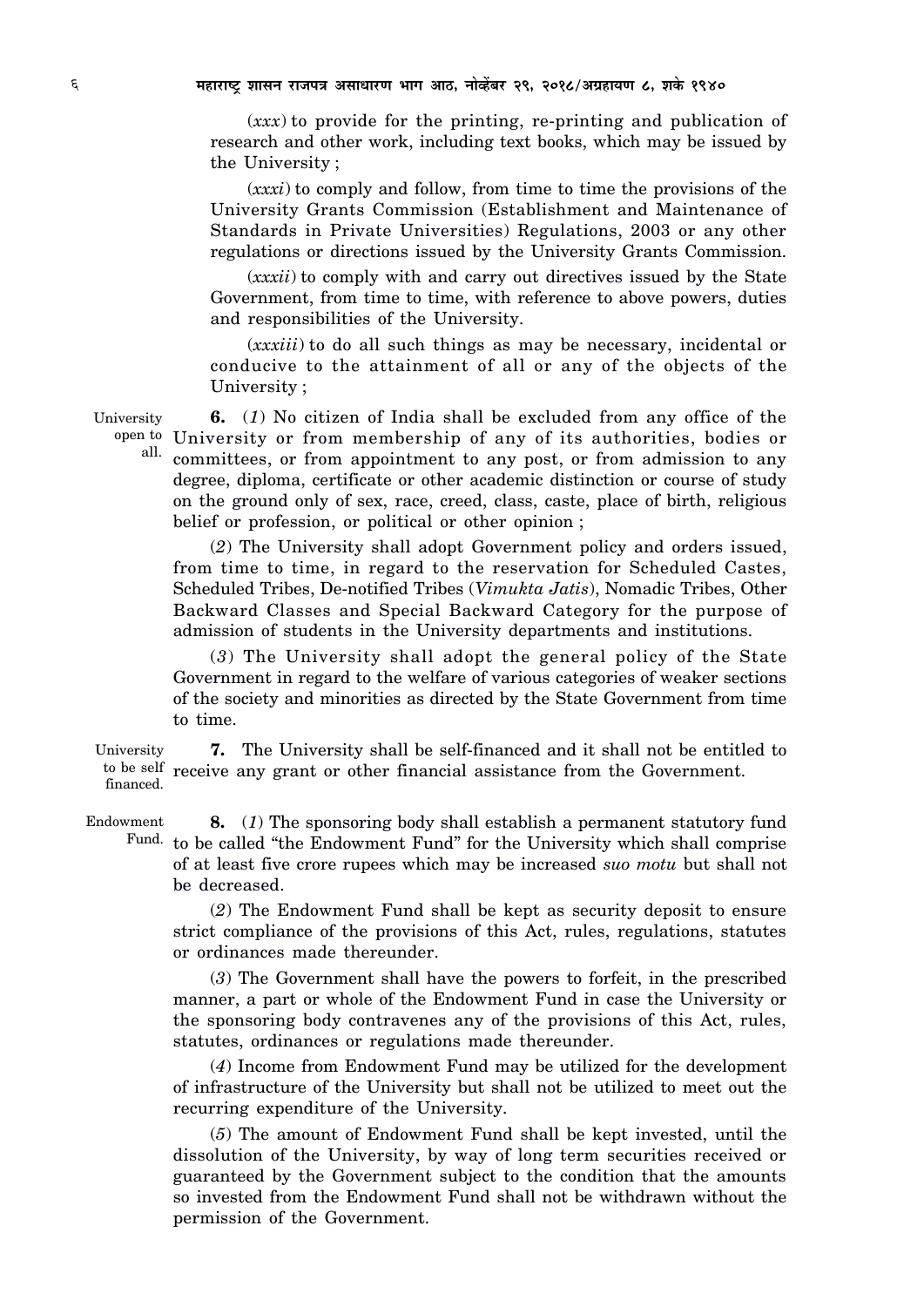(*xxx*) to provide for the printing, re-printing and publication of research and other work, including text books, which may be issued by the University ;

(*xxxi*) to comply and follow, from time to time the provisions of the University Grants Commission (Establishment and Maintenance of Standards in Private Universities) Regulations, 2003 or any other regulations or directions issued by the University Grants Commission.

(*xxxii*) to comply with and carry out directives issued by the State Government, from time to time, with reference to above powers, duties and responsibilities of the University.

(*xxxiii*) to do all such things as may be necessary, incidental or conducive to the attainment of all or any of the objects of the University ;

**6.** (*1*) No citizen of India shall be excluded from any office of the open to University or from membership of any of its authorities, bodies or committees, or from appointment to any post, or from admission to any degree, diploma, certificate or other academic distinction or course of study on the ground only of sex, race, creed, class, caste, place of birth, religious belief or profession, or political or other opinion ; all.

(*2*) The University shall adopt Government policy and orders issued, from time to time, in regard to the reservation for Scheduled Castes, Scheduled Tribes, De-notified Tribes (*Vimukta Jatis*), Nomadic Tribes, Other Backward Classes and Special Backward Category for the purpose of admission of students in the University departments and institutions.

(*3*) The University shall adopt the general policy of the State Government in regard to the welfare of various categories of weaker sections of the society and minorities as directed by the State Government from time to time.

**7.** The University shall be self-financed and it shall not be entitled to to be self receive any grant or other financial assistance from the Government. University financed.

**8.** (*1*) The sponsoring body shall establish a permanent statutory fund Fund. to be called "the Endowment Fund" for the University which shall comprise of at least five crore rupees which may be increased *suo motu* but shall not be decreased. Endowment

> (*2*) The Endowment Fund shall be kept as security deposit to ensure strict compliance of the provisions of this Act, rules, regulations, statutes or ordinances made thereunder.

> (*3*) The Government shall have the powers to forfeit, in the prescribed manner, a part or whole of the Endowment Fund in case the University or the sponsoring body contravenes any of the provisions of this Act, rules, statutes, ordinances or regulations made thereunder.

> (*4*) Income from Endowment Fund may be utilized for the development of infrastructure of the University but shall not be utilized to meet out the recurring expenditure of the University.

> (*5*) The amount of Endowment Fund shall be kept invested, until the dissolution of the University, by way of long term securities received or guaranteed by the Government subject to the condition that the amounts so invested from the Endowment Fund shall not be withdrawn without the permission of the Government.

University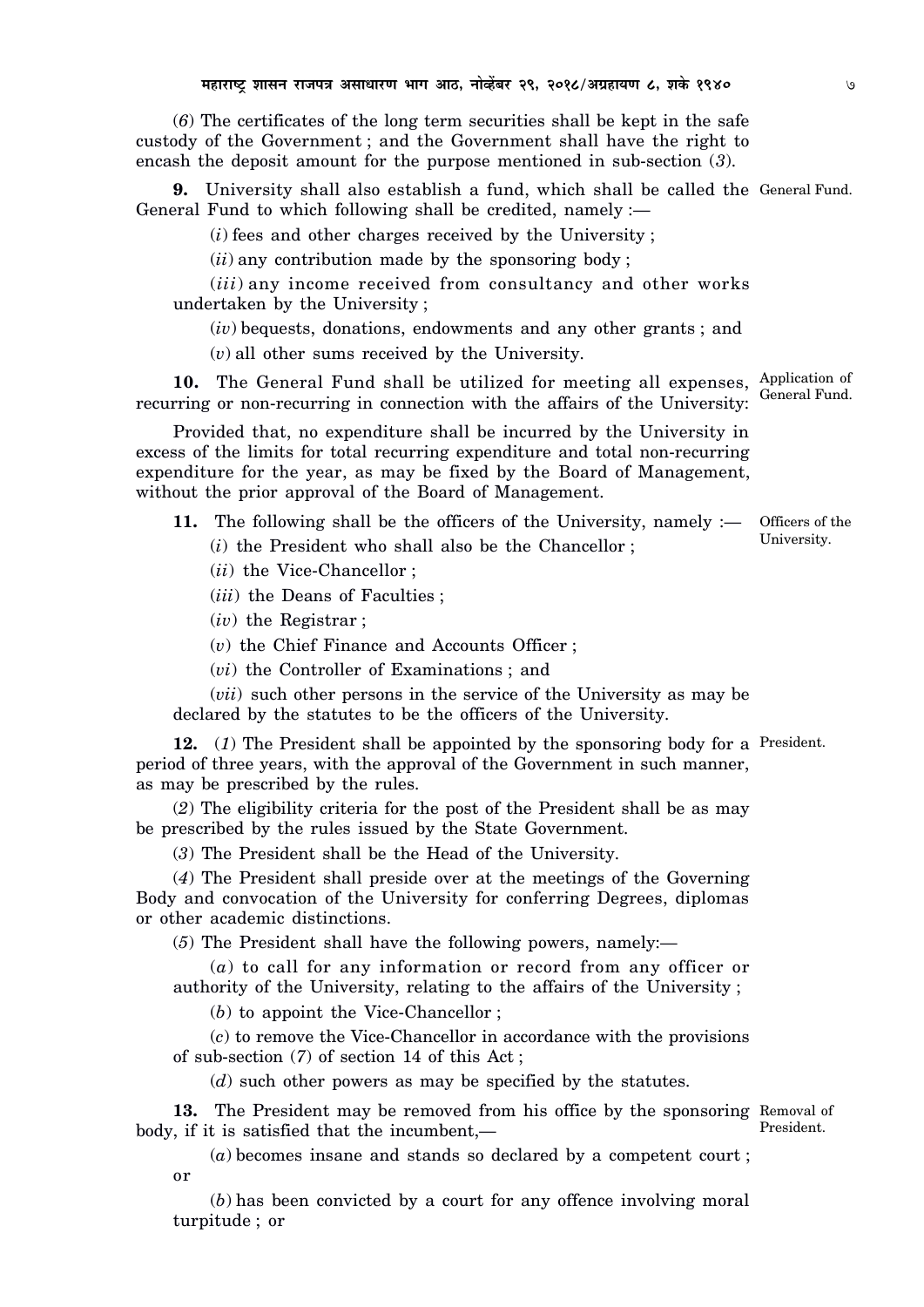(*6*) The certificates of the long term securities shall be kept in the safe custody of the Government ; and the Government shall have the right to encash the deposit amount for the purpose mentioned in sub-section (*3*).

**9.** University shall also establish a fund, which shall be called the General Fund. General Fund to which following shall be credited, namely :—

(*i*) fees and other charges received by the University ;

(*ii*) any contribution made by the sponsoring body ;

(*iii*) any income received from consultancy and other works undertaken by the University ;

(*iv*) bequests, donations, endowments and any other grants ; and

(*v*) all other sums received by the University.

10. The General Fund shall be utilized for meeting all expenses, Application of recurring or non-recurring in connection with the affairs of the University: General Fund.

Provided that, no expenditure shall be incurred by the University in excess of the limits for total recurring expenditure and total non-recurring expenditure for the year, as may be fixed by the Board of Management, without the prior approval of the Board of Management.

**11.** The following shall be the officers of the University, namely :— (*i*) the President who shall also be the Chancellor ; Officers of the University.

(*ii*) the Vice-Chancellor ;

(*iii*) the Deans of Faculties ;

(*iv*) the Registrar ;

(*v*) the Chief Finance and Accounts Officer ;

(*vi*) the Controller of Examinations ; and

(*vii*) such other persons in the service of the University as may be declared by the statutes to be the officers of the University.

**12.** (*1*) The President shall be appointed by the sponsoring body for a President. period of three years, with the approval of the Government in such manner, as may be prescribed by the rules.

(*2*) The eligibility criteria for the post of the President shall be as may be prescribed by the rules issued by the State Government.

(*3*) The President shall be the Head of the University.

(*4*) The President shall preside over at the meetings of the Governing Body and convocation of the University for conferring Degrees, diplomas or other academic distinctions.

(*5*) The President shall have the following powers, namely:—

(*a*) to call for any information or record from any officer or authority of the University, relating to the affairs of the University ;

(*b*) to appoint the Vice-Chancellor ;

(*c*) to remove the Vice-Chancellor in accordance with the provisions of sub-section (*7*) of section 14 of this Act ;

(*d*) such other powers as may be specified by the statutes.

**13.** The President may be removed from his office by the sponsoring Removal of body, if it is satisfied that the incumbent,— President.

(*a*) becomes insane and stands so declared by a competent court ; or

(*b*) has been convicted by a court for any offence involving moral turpitude ; or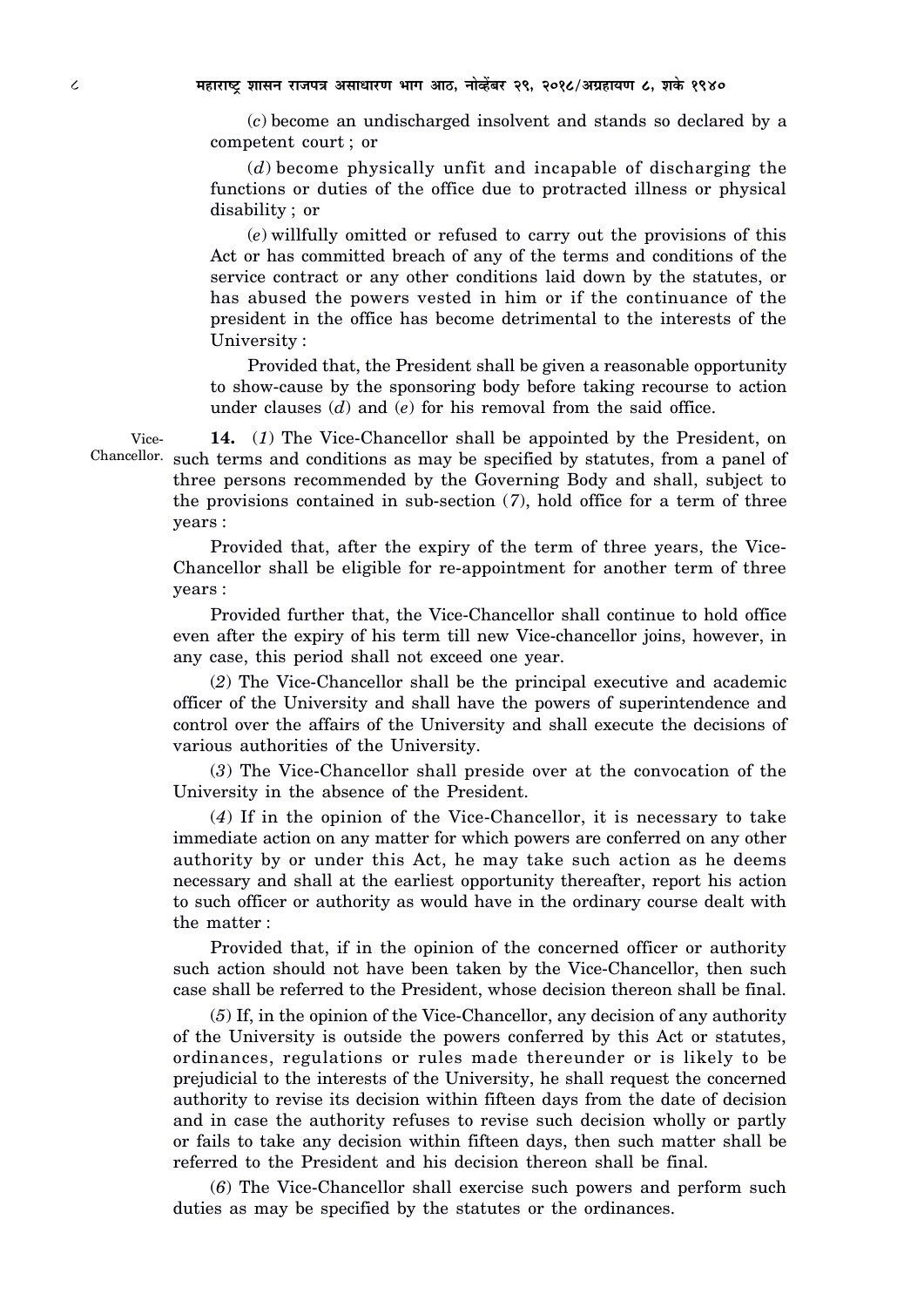(*c*) become an undischarged insolvent and stands so declared by a competent court ; or

(*d*) become physically unfit and incapable of discharging the functions or duties of the office due to protracted illness or physical disability ; or

(*e*) willfully omitted or refused to carry out the provisions of this Act or has committed breach of any of the terms and conditions of the service contract or any other conditions laid down by the statutes, or has abused the powers vested in him or if the continuance of the president in the office has become detrimental to the interests of the University :

Provided that, the President shall be given a reasonable opportunity to show-cause by the sponsoring body before taking recourse to action under clauses (*d*) and (*e*) for his removal from the said office.

**14.** (*1*) The Vice-Chancellor shall be appointed by the President, on Chancellor. such terms and conditions as may be specified by statutes, from a panel of three persons recommended by the Governing Body and shall, subject to the provisions contained in sub-section (*7*), hold office for a term of three years :

> Provided that, after the expiry of the term of three years, the Vice-Chancellor shall be eligible for re-appointment for another term of three years :

> Provided further that, the Vice-Chancellor shall continue to hold office even after the expiry of his term till new Vice-chancellor joins, however, in any case, this period shall not exceed one year.

> (*2*) The Vice-Chancellor shall be the principal executive and academic officer of the University and shall have the powers of superintendence and control over the affairs of the University and shall execute the decisions of various authorities of the University.

> (*3*) The Vice-Chancellor shall preside over at the convocation of the University in the absence of the President.

> (*4*) If in the opinion of the Vice-Chancellor, it is necessary to take immediate action on any matter for which powers are conferred on any other authority by or under this Act, he may take such action as he deems necessary and shall at the earliest opportunity thereafter, report his action to such officer or authority as would have in the ordinary course dealt with the matter :

> Provided that, if in the opinion of the concerned officer or authority such action should not have been taken by the Vice-Chancellor, then such case shall be referred to the President, whose decision thereon shall be final.

> (*5*) If, in the opinion of the Vice-Chancellor, any decision of any authority of the University is outside the powers conferred by this Act or statutes, ordinances, regulations or rules made thereunder or is likely to be prejudicial to the interests of the University, he shall request the concerned authority to revise its decision within fifteen days from the date of decision and in case the authority refuses to revise such decision wholly or partly or fails to take any decision within fifteen days, then such matter shall be referred to the President and his decision thereon shall be final.

> (*6*) The Vice-Chancellor shall exercise such powers and perform such duties as may be specified by the statutes or the ordinances.

Vice-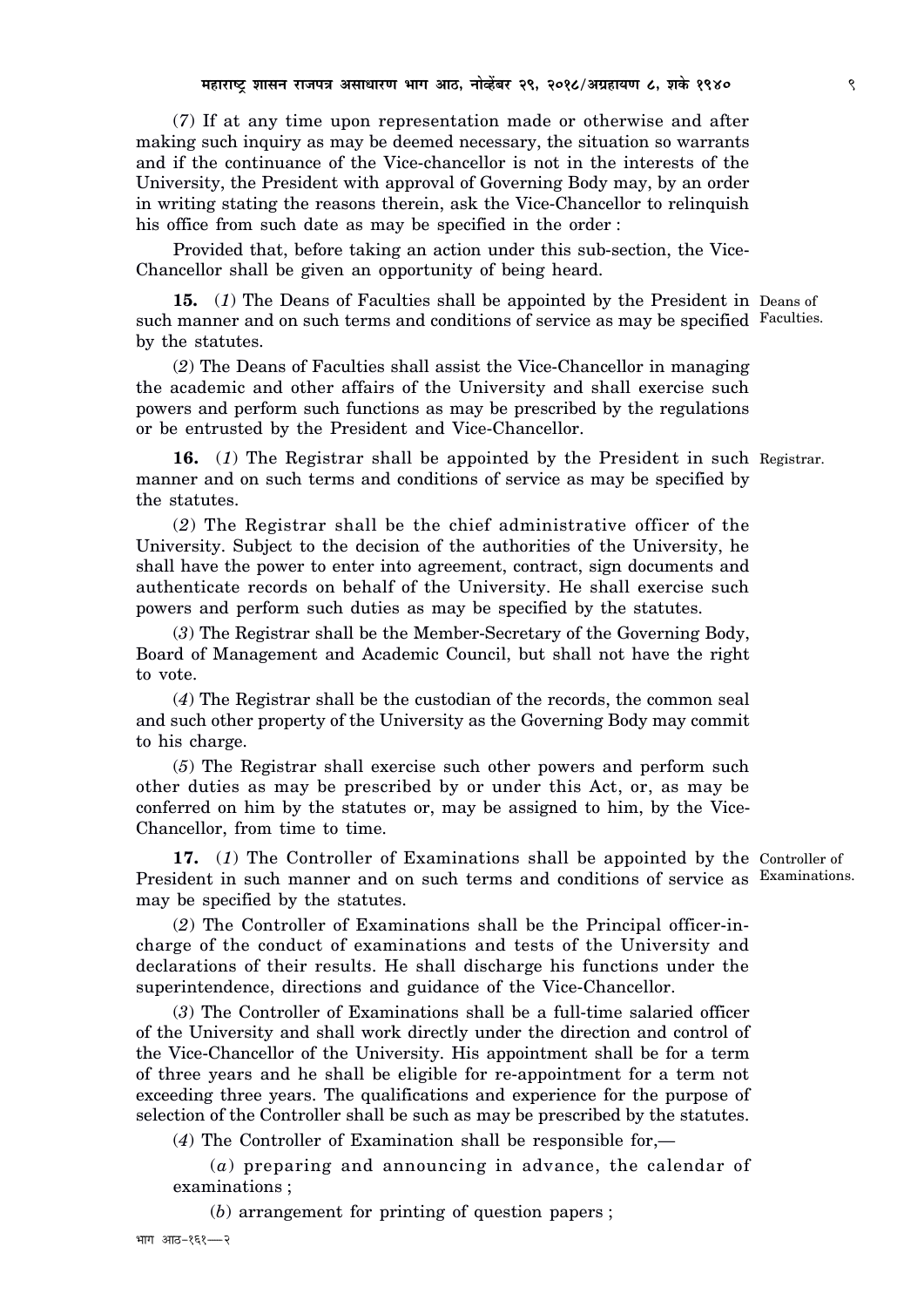(*7*) If at any time upon representation made or otherwise and after making such inquiry as may be deemed necessary, the situation so warrants and if the continuance of the Vice-chancellor is not in the interests of the University, the President with approval of Governing Body may, by an order in writing stating the reasons therein, ask the Vice-Chancellor to relinquish his office from such date as may be specified in the order :

Provided that, before taking an action under this sub-section, the Vice-Chancellor shall be given an opportunity of being heard.

**15.** (*1*) The Deans of Faculties shall be appointed by the President in Deans of such manner and on such terms and conditions of service as may be specified Faculties. by the statutes.

(*2*) The Deans of Faculties shall assist the Vice-Chancellor in managing the academic and other affairs of the University and shall exercise such powers and perform such functions as may be prescribed by the regulations or be entrusted by the President and Vice-Chancellor.

**16.** (*1*) The Registrar shall be appointed by the President in such Registrar. manner and on such terms and conditions of service as may be specified by the statutes.

(*2*) The Registrar shall be the chief administrative officer of the University. Subject to the decision of the authorities of the University, he shall have the power to enter into agreement, contract, sign documents and authenticate records on behalf of the University. He shall exercise such powers and perform such duties as may be specified by the statutes.

(*3*) The Registrar shall be the Member-Secretary of the Governing Body, Board of Management and Academic Council, but shall not have the right to vote.

(*4*) The Registrar shall be the custodian of the records, the common seal and such other property of the University as the Governing Body may commit to his charge.

(*5*) The Registrar shall exercise such other powers and perform such other duties as may be prescribed by or under this Act, or, as may be conferred on him by the statutes or, may be assigned to him, by the Vice-Chancellor, from time to time.

**17.** (*1*) The Controller of Examinations shall be appointed by the Controller of President in such manner and on such terms and conditions of service as Examinations. may be specified by the statutes.

(*2*) The Controller of Examinations shall be the Principal officer-incharge of the conduct of examinations and tests of the University and declarations of their results. He shall discharge his functions under the superintendence, directions and guidance of the Vice-Chancellor.

(*3*) The Controller of Examinations shall be a full-time salaried officer of the University and shall work directly under the direction and control of the Vice-Chancellor of the University. His appointment shall be for a term of three years and he shall be eligible for re-appointment for a term not exceeding three years. The qualifications and experience for the purpose of selection of the Controller shall be such as may be prescribed by the statutes.

(*4*) The Controller of Examination shall be responsible for,—

(*a*) preparing and announcing in advance, the calendar of examinations ;

(*b*) arrangement for printing of question papers ;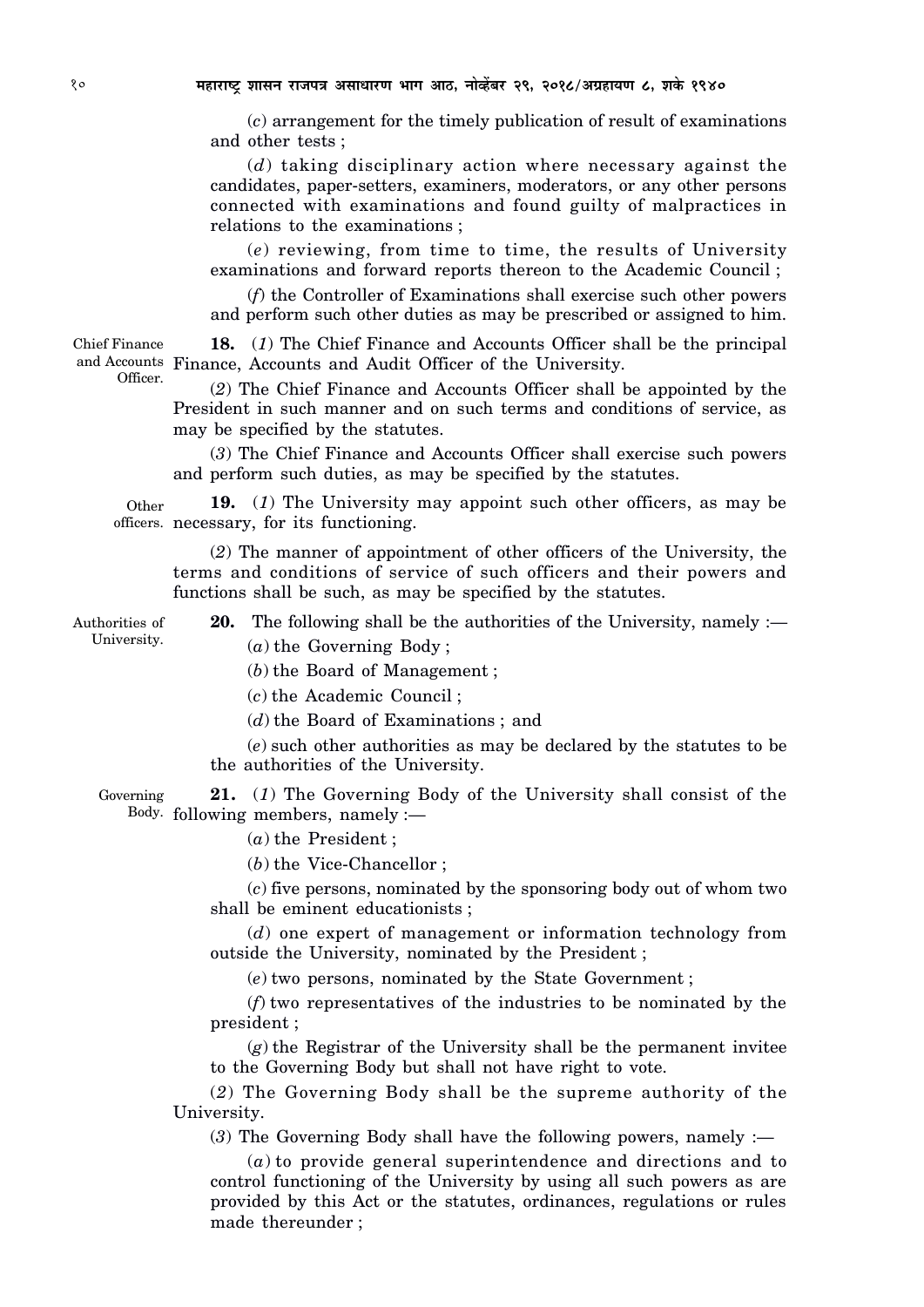(*c*) arrangement for the timely publication of result of examinations and other tests ;

(*d*) taking disciplinary action where necessary against the candidates, paper-setters, examiners, moderators, or any other persons connected with examinations and found guilty of malpractices in relations to the examinations ;

(*e*) reviewing, from time to time, the results of University examinations and forward reports thereon to the Academic Council ;

(*f*) the Controller of Examinations shall exercise such other powers and perform such other duties as may be prescribed or assigned to him.

**18.** (*1*) The Chief Finance and Accounts Officer shall be the principal and Accounts Finance, Accounts and Audit Officer of the University. Chief Finance

> (*2*) The Chief Finance and Accounts Officer shall be appointed by the President in such manner and on such terms and conditions of service, as may be specified by the statutes.

> (*3*) The Chief Finance and Accounts Officer shall exercise such powers and perform such duties, as may be specified by the statutes.

**19.** (*1*) The University may appoint such other officers, as may be officers. necessary, for its functioning. Other

(*2*) The manner of appointment of other officers of the University, the terms and conditions of service of such officers and their powers and functions shall be such, as may be specified by the statutes.

Authorities of University.

**20.** The following shall be the authorities of the University, namely :— (*a*) the Governing Body ;

(*b*) the Board of Management ;

(*c*) the Academic Council ;

(*d*) the Board of Examinations ; and

(*e*) such other authorities as may be declared by the statutes to be the authorities of the University.

**21.** (*1*) The Governing Body of the University shall consist of the Body. following members, namely :— Governing

(*a*) the President ;

(*b*) the Vice-Chancellor ;

(*c*) five persons, nominated by the sponsoring body out of whom two shall be eminent educationists ;

(*d*) one expert of management or information technology from outside the University, nominated by the President ;

(*e*) two persons, nominated by the State Government ;

(*f*) two representatives of the industries to be nominated by the president ;

(*g*) the Registrar of the University shall be the permanent invitee to the Governing Body but shall not have right to vote.

(*2*) The Governing Body shall be the supreme authority of the University.

(*3*) The Governing Body shall have the following powers, namely :—

(*a*) to provide general superintendence and directions and to control functioning of the University by using all such powers as are provided by this Act or the statutes, ordinances, regulations or rules made thereunder ;

Officer.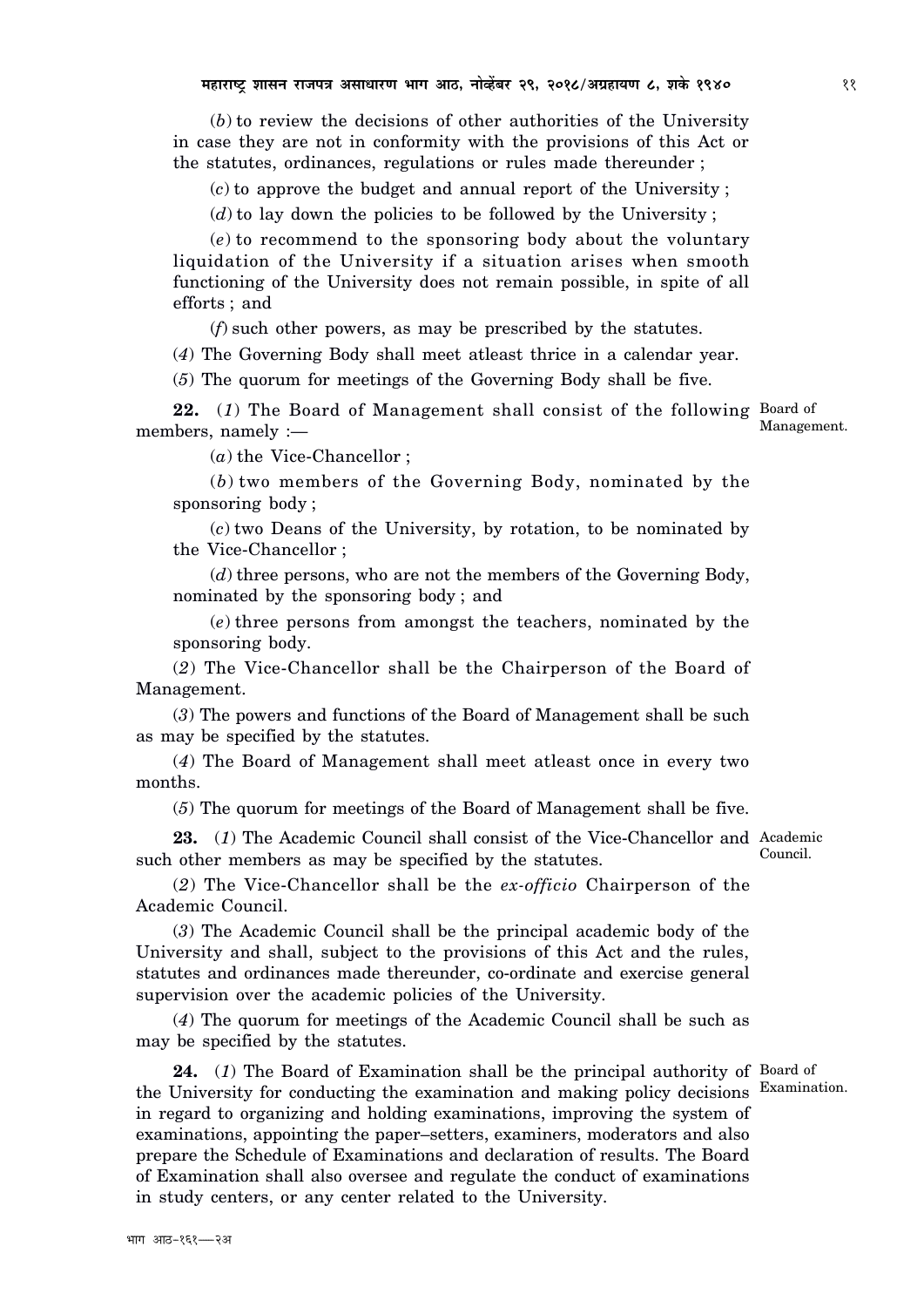(*b*) to review the decisions of other authorities of the University in case they are not in conformity with the provisions of this Act or the statutes, ordinances, regulations or rules made thereunder ;

(*c*) to approve the budget and annual report of the University ;

(*d*) to lay down the policies to be followed by the University ;

(*e*) to recommend to the sponsoring body about the voluntary liquidation of the University if a situation arises when smooth functioning of the University does not remain possible, in spite of all efforts ; and

(*f*) such other powers, as may be prescribed by the statutes.

(*4*) The Governing Body shall meet atleast thrice in a calendar year.

(*5*) The quorum for meetings of the Governing Body shall be five.

22. (1) The Board of Management shall consist of the following Board of members, namely :—

(*a*) the Vice-Chancellor ;

(*b*) two members of the Governing Body, nominated by the sponsoring body ;

(*c*) two Deans of the University, by rotation, to be nominated by the Vice-Chancellor ;

(*d*) three persons, who are not the members of the Governing Body, nominated by the sponsoring body ; and

(*e*) three persons from amongst the teachers, nominated by the sponsoring body.

(*2*) The Vice-Chancellor shall be the Chairperson of the Board of Management.

(*3*) The powers and functions of the Board of Management shall be such as may be specified by the statutes.

(*4*) The Board of Management shall meet atleast once in every two months.

(*5*) The quorum for meetings of the Board of Management shall be five.

23. (1) The Academic Council shall consist of the Vice-Chancellor and Academic such other members as may be specified by the statutes. Council.

(*2*) The Vice-Chancellor shall be the *ex-officio* Chairperson of the Academic Council.

(*3*) The Academic Council shall be the principal academic body of the University and shall, subject to the provisions of this Act and the rules, statutes and ordinances made thereunder, co-ordinate and exercise general supervision over the academic policies of the University.

(*4*) The quorum for meetings of the Academic Council shall be such as may be specified by the statutes.

24. (1) The Board of Examination shall be the principal authority of Board of the University for conducting the examination and making policy decisions in regard to organizing and holding examinations, improving the system of examinations, appointing the paper–setters, examiners, moderators and also prepare the Schedule of Examinations and declaration of results. The Board of Examination shall also oversee and regulate the conduct of examinations in study centers, or any center related to the University.

Management.

Examination.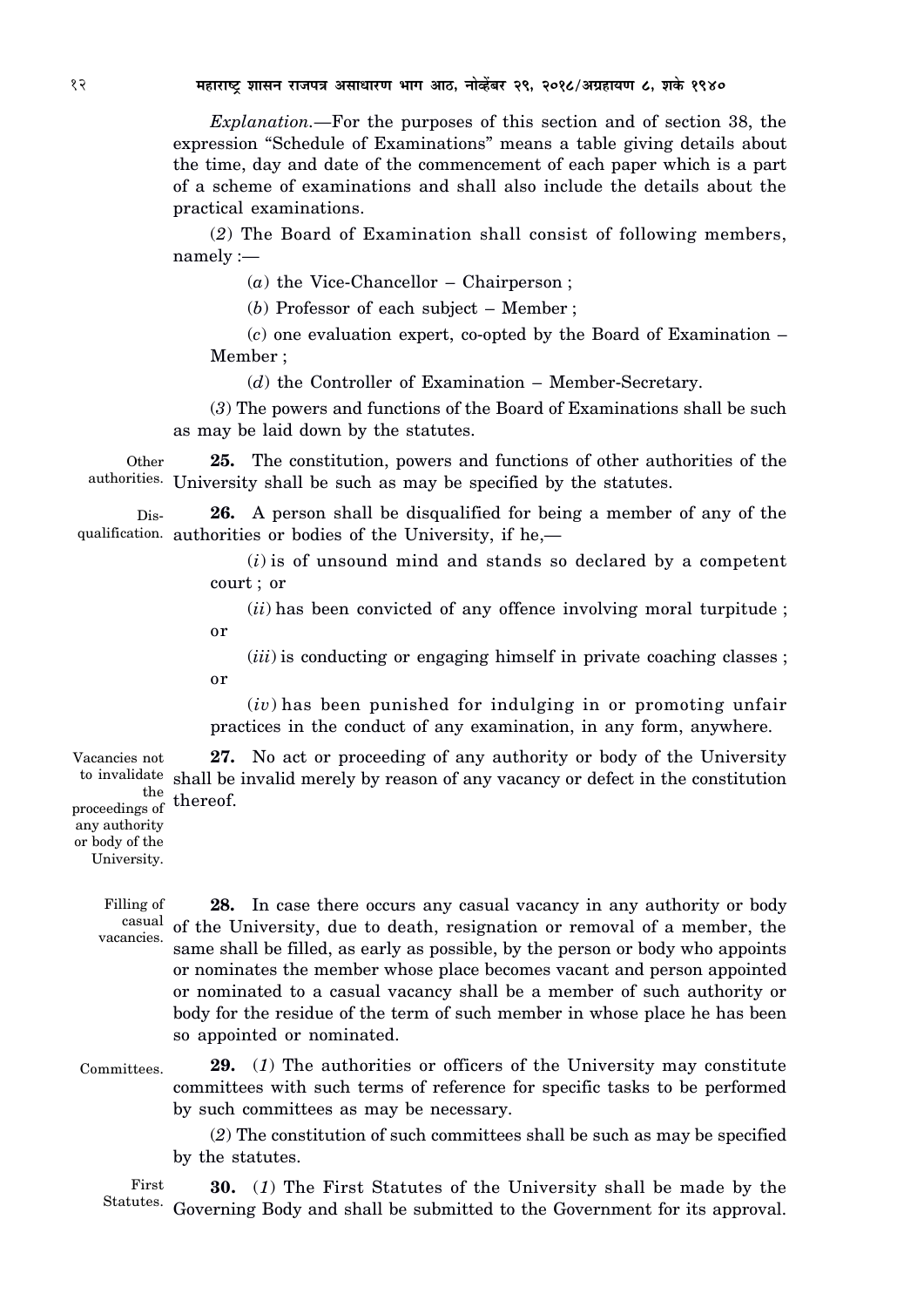*Explanation.—*For the purposes of this section and of section 38, the expression "Schedule of Examinations" means a table giving details about the time, day and date of the commencement of each paper which is a part of a scheme of examinations and shall also include the details about the practical examinations.

(*2*) The Board of Examination shall consist of following members, namely :—

(*a*) the Vice-Chancellor – Chairperson ;

(*b*) Professor of each subject – Member ;

(*c*) one evaluation expert, co-opted by the Board of Examination – Member ;

(*d*) the Controller of Examination – Member-Secretary.

(*3*) The powers and functions of the Board of Examinations shall be such as may be laid down by the statutes.

**25.** The constitution, powers and functions of other authorities of the authorities. University shall be such as may be specified by the statutes. **Other** 

**26.** A person shall be disqualified for being a member of any of the qualification. authorities or bodies of the University, if he,— Dis-

> (*i*) is of unsound mind and stands so declared by a competent court ; or

> (*ii*) has been convicted of any offence involving moral turpitude ; or

> (*iii*) is conducting or engaging himself in private coaching classes ; or

> (*iv*) has been punished for indulging in or promoting unfair practices in the conduct of any examination, in any form, anywhere.

**27.** No act or proceeding of any authority or body of the University to invalidate shall be invalid merely by reason of any vacancy or defect in the constitution  $\frac{\text{the}}{\text{c} \cdot \text{c} \cdot \text{f}}$  thereof. Vacancies not

proceedings of  $\cdot$ <sup>the</sup> any authority or body of the University.

> Filling of vacancies.

**28.** In case there occurs any casual vacancy in any authority or body casual of the University, due to death, resignation or removal of a member, the same shall be filled, as early as possible, by the person or body who appoints or nominates the member whose place becomes vacant and person appointed or nominated to a casual vacancy shall be a member of such authority or body for the residue of the term of such member in whose place he has been so appointed or nominated.

**29.** (*1*) The authorities or officers of the University may constitute committees with such terms of reference for specific tasks to be performed by such committees as may be necessary. Committees.

> (*2*) The constitution of such committees shall be such as may be specified by the statutes.

**30.** (*1*) The First Statutes of the University shall be made by the Statutes. Governing Body and shall be submitted to the Government for its approval. First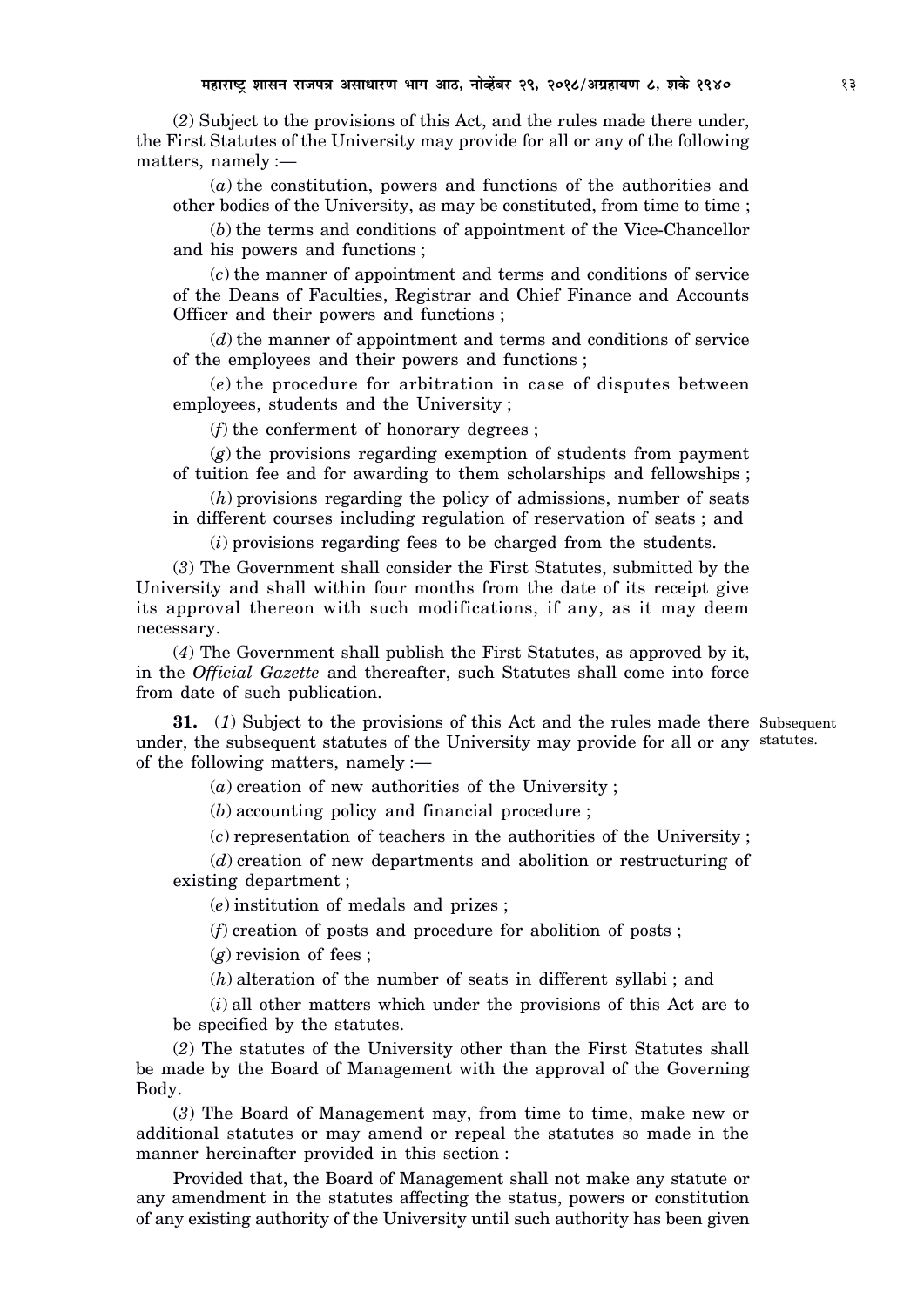(*2*) Subject to the provisions of this Act, and the rules made there under, the First Statutes of the University may provide for all or any of the following matters, namely :—

(*a*) the constitution, powers and functions of the authorities and other bodies of the University, as may be constituted, from time to time ;

(*b*) the terms and conditions of appointment of the Vice-Chancellor and his powers and functions ;

(*c*) the manner of appointment and terms and conditions of service of the Deans of Faculties, Registrar and Chief Finance and Accounts Officer and their powers and functions ;

(*d*) the manner of appointment and terms and conditions of service of the employees and their powers and functions ;

(*e*) the procedure for arbitration in case of disputes between employees, students and the University ;

(*f*) the conferment of honorary degrees ;

(*g*) the provisions regarding exemption of students from payment of tuition fee and for awarding to them scholarships and fellowships ;

(*h*) provisions regarding the policy of admissions, number of seats in different courses including regulation of reservation of seats ; and

(*i*) provisions regarding fees to be charged from the students.

(*3*) The Government shall consider the First Statutes, submitted by the University and shall within four months from the date of its receipt give its approval thereon with such modifications, if any, as it may deem necessary.

(*4*) The Government shall publish the First Statutes, as approved by it, in the *Official Gazette* and thereafter, such Statutes shall come into force from date of such publication.

**31.** (*1*) Subject to the provisions of this Act and the rules made there Subsequent under, the subsequent statutes of the University may provide for all or any statutes.of the following matters, namely :—

(*a*) creation of new authorities of the University ;

(*b*) accounting policy and financial procedure ;

(*c*) representation of teachers in the authorities of the University ;

(*d*) creation of new departments and abolition or restructuring of existing department ;

(*e*) institution of medals and prizes ;

(*f*) creation of posts and procedure for abolition of posts ;

(*g*) revision of fees ;

(*h*) alteration of the number of seats in different syllabi ; and

(*i*) all other matters which under the provisions of this Act are to be specified by the statutes.

(*2*) The statutes of the University other than the First Statutes shall be made by the Board of Management with the approval of the Governing Body.

(*3*) The Board of Management may, from time to time, make new or additional statutes or may amend or repeal the statutes so made in the manner hereinafter provided in this section :

Provided that, the Board of Management shall not make any statute or any amendment in the statutes affecting the status, powers or constitution of any existing authority of the University until such authority has been given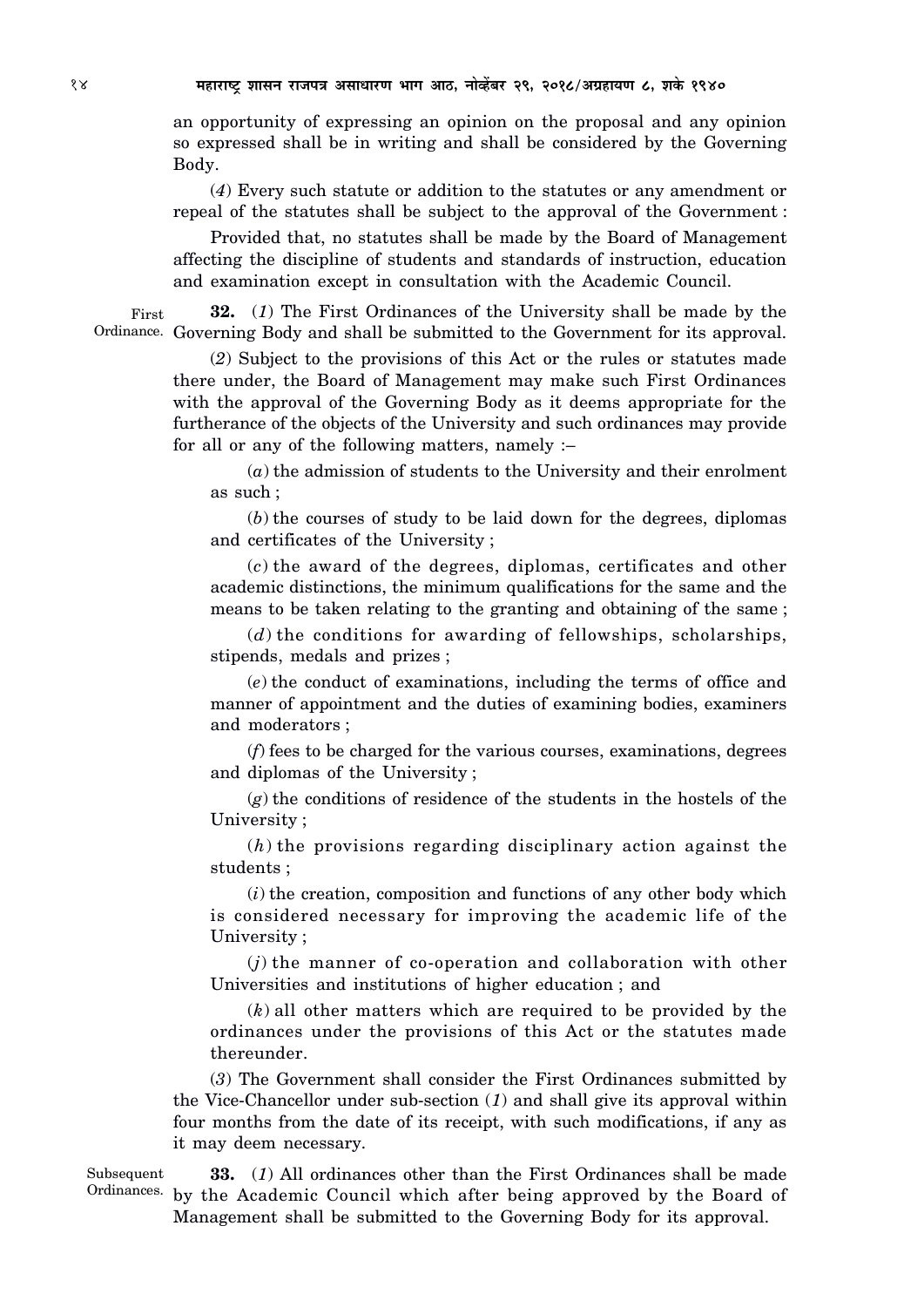an opportunity of expressing an opinion on the proposal and any opinion so expressed shall be in writing and shall be considered by the Governing Body.

(*4*) Every such statute or addition to the statutes or any amendment or repeal of the statutes shall be subject to the approval of the Government :

Provided that, no statutes shall be made by the Board of Management affecting the discipline of students and standards of instruction, education and examination except in consultation with the Academic Council.

**32.** (*1*) The First Ordinances of the University shall be made by the Ordinance. Governing Body and shall be submitted to the Government for its approval. First

> (*2*) Subject to the provisions of this Act or the rules or statutes made there under, the Board of Management may make such First Ordinances with the approval of the Governing Body as it deems appropriate for the furtherance of the objects of the University and such ordinances may provide for all or any of the following matters, namely :–

(*a*) the admission of students to the University and their enrolment as such ;

(*b*) the courses of study to be laid down for the degrees, diplomas and certificates of the University ;

(*c*) the award of the degrees, diplomas, certificates and other academic distinctions, the minimum qualifications for the same and the means to be taken relating to the granting and obtaining of the same ;

(*d*) the conditions for awarding of fellowships, scholarships, stipends, medals and prizes ;

(*e*) the conduct of examinations, including the terms of office and manner of appointment and the duties of examining bodies, examiners and moderators ;

(*f*) fees to be charged for the various courses, examinations, degrees and diplomas of the University ;

(*g*) the conditions of residence of the students in the hostels of the University ;

(*h*) the provisions regarding disciplinary action against the students ;

(*i*) the creation, composition and functions of any other body which is considered necessary for improving the academic life of the University ;

(*j*) the manner of co-operation and collaboration with other Universities and institutions of higher education ; and

(*k*) all other matters which are required to be provided by the ordinances under the provisions of this Act or the statutes made thereunder.

(*3*) The Government shall consider the First Ordinances submitted by the Vice-Chancellor under sub-section (*1*) and shall give its approval within four months from the date of its receipt, with such modifications, if any as it may deem necessary.

Subsequent

**33.** (*1*) All ordinances other than the First Ordinances shall be made Ordinances. by the Academic Council which after being approved by the Board of Management shall be submitted to the Governing Body for its approval.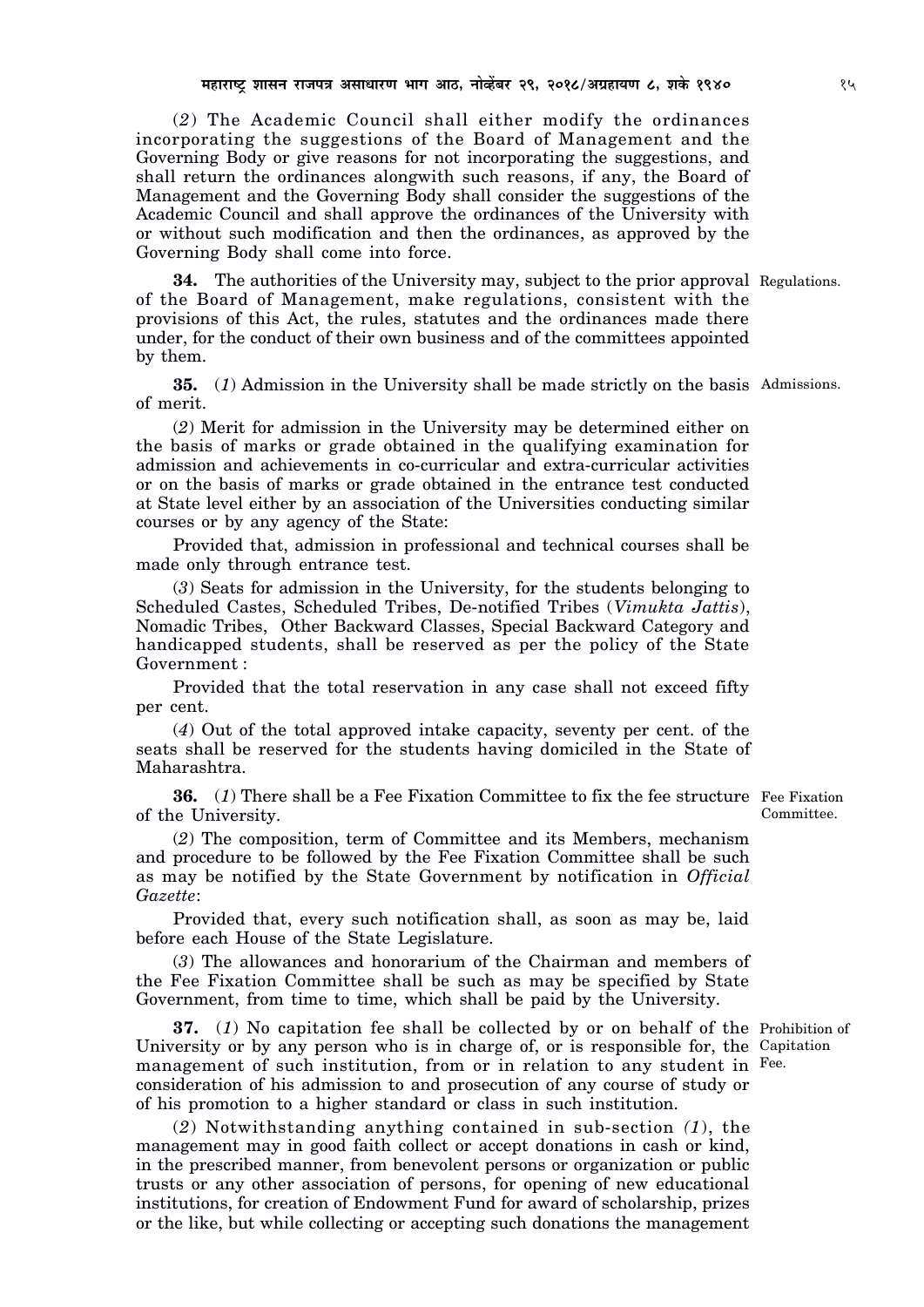(*2*) The Academic Council shall either modify the ordinances incorporating the suggestions of the Board of Management and the Governing Body or give reasons for not incorporating the suggestions, and shall return the ordinances alongwith such reasons, if any, the Board of Management and the Governing Body shall consider the suggestions of the Academic Council and shall approve the ordinances of the University with or without such modification and then the ordinances, as approved by the Governing Body shall come into force.

**34.** The authorities of the University may, subject to the prior approval Regulations. of the Board of Management, make regulations, consistent with the provisions of this Act, the rules, statutes and the ordinances made there under, for the conduct of their own business and of the committees appointed by them.

**35.** (*1*) Admission in the University shall be made strictly on the basis Admissions. of merit.

(*2*) Merit for admission in the University may be determined either on the basis of marks or grade obtained in the qualifying examination for admission and achievements in co-curricular and extra-curricular activities or on the basis of marks or grade obtained in the entrance test conducted at State level either by an association of the Universities conducting similar courses or by any agency of the State:

Provided that, admission in professional and technical courses shall be made only through entrance test.

(*3*) Seats for admission in the University, for the students belonging to Scheduled Castes, Scheduled Tribes, De-notified Tribes (*Vimukta Jattis*), Nomadic Tribes, Other Backward Classes, Special Backward Category and handicapped students, shall be reserved as per the policy of the State Government :

Provided that the total reservation in any case shall not exceed fifty per cent.

(*4*) Out of the total approved intake capacity, seventy per cent. of the seats shall be reserved for the students having domiciled in the State of Maharashtra.

**36.** (1) There shall be a Fee Fixation Committee to fix the fee structure Fee Fixation of the University.

(*2*) The composition, term of Committee and its Members, mechanism and procedure to be followed by the Fee Fixation Committee shall be such as may be notified by the State Government by notification in *Official Gazette*:

Provided that, every such notification shall, as soon as may be, laid before each House of the State Legislature.

(*3*) The allowances and honorarium of the Chairman and members of the Fee Fixation Committee shall be such as may be specified by State Government, from time to time, which shall be paid by the University.

**37.** (*1*) No capitation fee shall be collected by or on behalf of the Prohibition of University or by any person who is in charge of, or is responsible for, the Capitation management of such institution, from or in relation to any student in Fee.consideration of his admission to and prosecution of any course of study or of his promotion to a higher standard or class in such institution.

(*2*) Notwithstanding anything contained in sub-section *(1*), the management may in good faith collect or accept donations in cash or kind, in the prescribed manner, from benevolent persons or organization or public trusts or any other association of persons, for opening of new educational institutions, for creation of Endowment Fund for award of scholarship, prizes or the like, but while collecting or accepting such donations the management

Committee.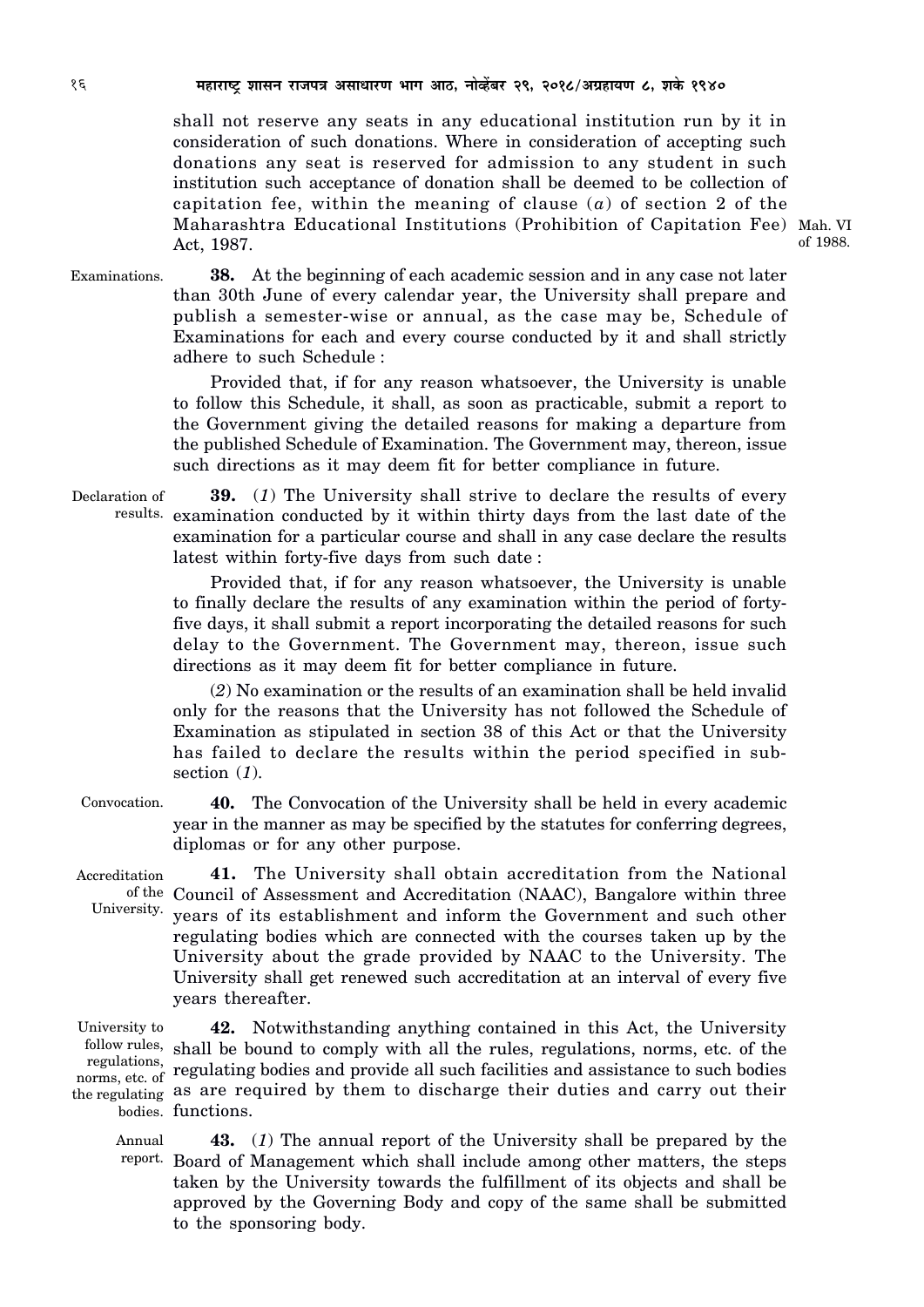shall not reserve any seats in any educational institution run by it in consideration of such donations. Where in consideration of accepting such donations any seat is reserved for admission to any student in such institution such acceptance of donation shall be deemed to be collection of capitation fee, within the meaning of clause (*a*) of section 2 of the Maharashtra Educational Institutions (Prohibition of Capitation Fee) Mah. VI Act, 1987.

of 1988.

Examinations.

**38.** At the beginning of each academic session and in any case not later than 30th June of every calendar year, the University shall prepare and publish a semester-wise or annual, as the case may be, Schedule of Examinations for each and every course conducted by it and shall strictly adhere to such Schedule :

Provided that, if for any reason whatsoever, the University is unable to follow this Schedule, it shall, as soon as practicable, submit a report to the Government giving the detailed reasons for making a departure from the published Schedule of Examination. The Government may, thereon, issue such directions as it may deem fit for better compliance in future.

**39.** (*1*) The University shall strive to declare the results of every results. examination conducted by it within thirty days from the last date of the examination for a particular course and shall in any case declare the results latest within forty-five days from such date : Declaration of

> Provided that, if for any reason whatsoever, the University is unable to finally declare the results of any examination within the period of fortyfive days, it shall submit a report incorporating the detailed reasons for such delay to the Government. The Government may, thereon, issue such directions as it may deem fit for better compliance in future.

> (*2*) No examination or the results of an examination shall be held invalid only for the reasons that the University has not followed the Schedule of Examination as stipulated in section 38 of this Act or that the University has failed to declare the results within the period specified in subsection (*1*).

**40.** The Convocation of the University shall be held in every academic year in the manner as may be specified by the statutes for conferring degrees, diplomas or for any other purpose. Convocation.

Accreditation

**41.** The University shall obtain accreditation from the National of the Council of Assessment and Accreditation (NAAC), Bangalore within three University. years of its establishment and inform the Government and such other regulating bodies which are connected with the courses taken up by the University about the grade provided by NAAC to the University. The University shall get renewed such accreditation at an interval of every five years thereafter.

University to norms, etc. of  $\ ^{16}$ 

**42.** Notwithstanding anything contained in this Act, the University follow rules, shall be bound to comply with all the rules, regulations, norms, etc. of the regulations, regulating bodies and provide all such facilities and assistance to such bodies the regulating as are required by them to discharge their duties and carry out their bodies. functions.

**43.** (*1*) The annual report of the University shall be prepared by the report. Board of Management which shall include among other matters, the steps taken by the University towards the fulfillment of its objects and shall be approved by the Governing Body and copy of the same shall be submitted to the sponsoring body. Annual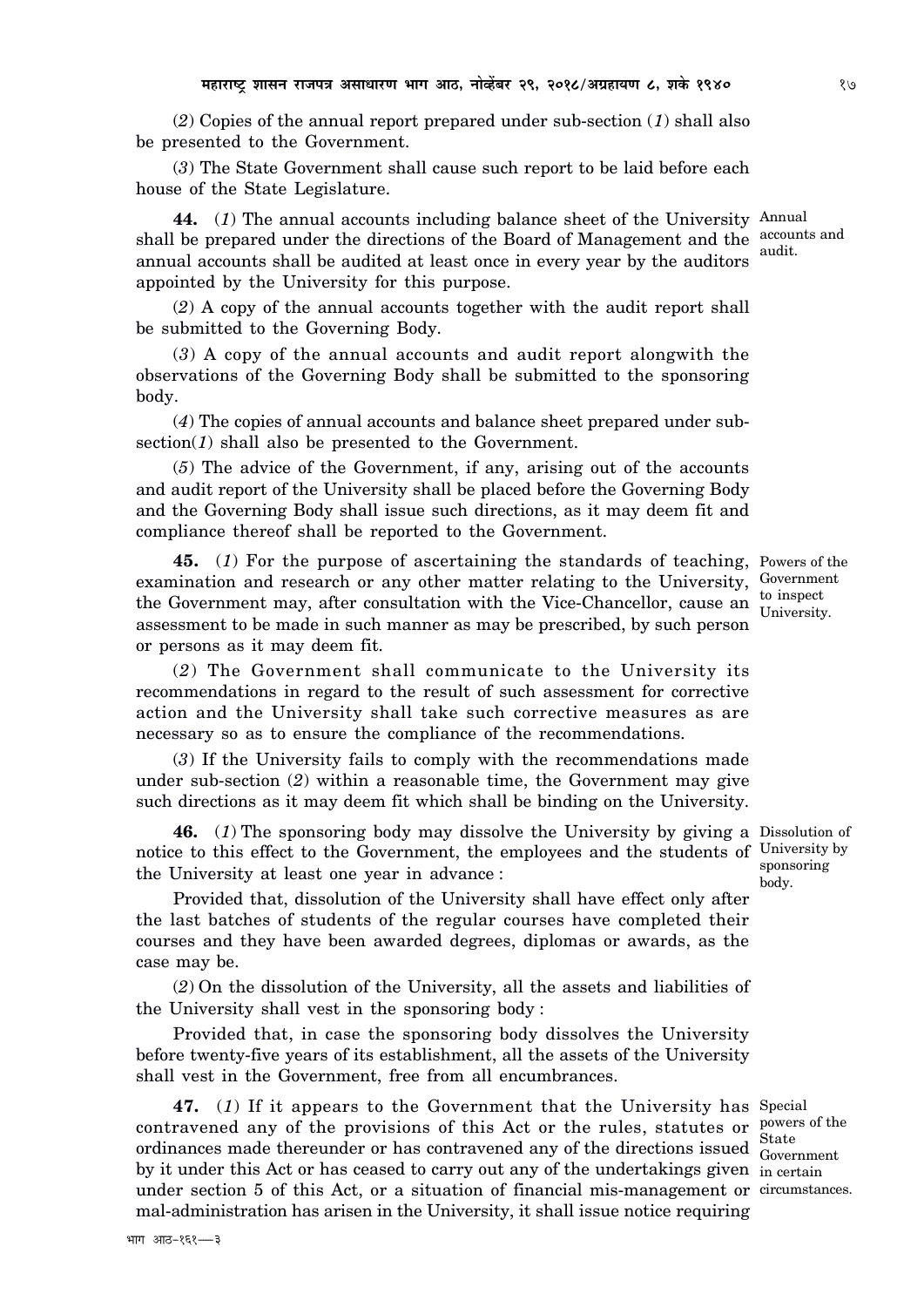(*2*) Copies of the annual report prepared under sub-section (*1*) shall also be presented to the Government.

(*3*) The State Government shall cause such report to be laid before each house of the State Legislature.

**44.** (*1*) The annual accounts including balance sheet of the University Annual shall be prepared under the directions of the Board of Management and the  $\frac{\text{accounts and}}{\text{total}}$ annual accounts shall be audited at least once in every year by the auditors audit. appointed by the University for this purpose.

(*2*) A copy of the annual accounts together with the audit report shall be submitted to the Governing Body.

(*3*) A copy of the annual accounts and audit report alongwith the observations of the Governing Body shall be submitted to the sponsoring body.

(*4*) The copies of annual accounts and balance sheet prepared under subsection(1) shall also be presented to the Government.

(*5*) The advice of the Government, if any, arising out of the accounts and audit report of the University shall be placed before the Governing Body and the Governing Body shall issue such directions, as it may deem fit and compliance thereof shall be reported to the Government.

**45.** (*1*) For the purpose of ascertaining the standards of teaching, Powers of the examination and research or any other matter relating to the University, Government the Government may, after consultation with the Vice-Chancellor, cause an  $\frac{1}{1}$  to inspect assessment to be made in such manner as may be prescribed, by such person or persons as it may deem fit.

(*2*) The Government shall communicate to the University its recommendations in regard to the result of such assessment for corrective action and the University shall take such corrective measures as are necessary so as to ensure the compliance of the recommendations.

(*3*) If the University fails to comply with the recommendations made under sub-section (*2*) within a reasonable time, the Government may give such directions as it may deem fit which shall be binding on the University.

**46.** (*1*) The sponsoring body may dissolve the University by giving a Dissolution of notice to this effect to the Government, the employees and the students of University by the University at least one year in advance :

Provided that, dissolution of the University shall have effect only after the last batches of students of the regular courses have completed their courses and they have been awarded degrees, diplomas or awards, as the case may be.

(*2*) On the dissolution of the University, all the assets and liabilities of the University shall vest in the sponsoring body :

Provided that, in case the sponsoring body dissolves the University before twenty-five years of its establishment, all the assets of the University shall vest in the Government, free from all encumbrances.

**47.** (*1*) If it appears to the Government that the University has Special contravened any of the provisions of this Act or the rules, statutes or  $\frac{p_{\text{overs of the}}}{\sim}$ ordinances made thereunder or has contravened any of the directions issued Covernment by it under this Act or has ceased to carry out any of the undertakings given in certain under section 5 of this Act, or a situation of financial mis-management or circumstances. mal-administration has arisen in the University, it shall issue notice requiring

Government

University.

sponsoring body.

audit.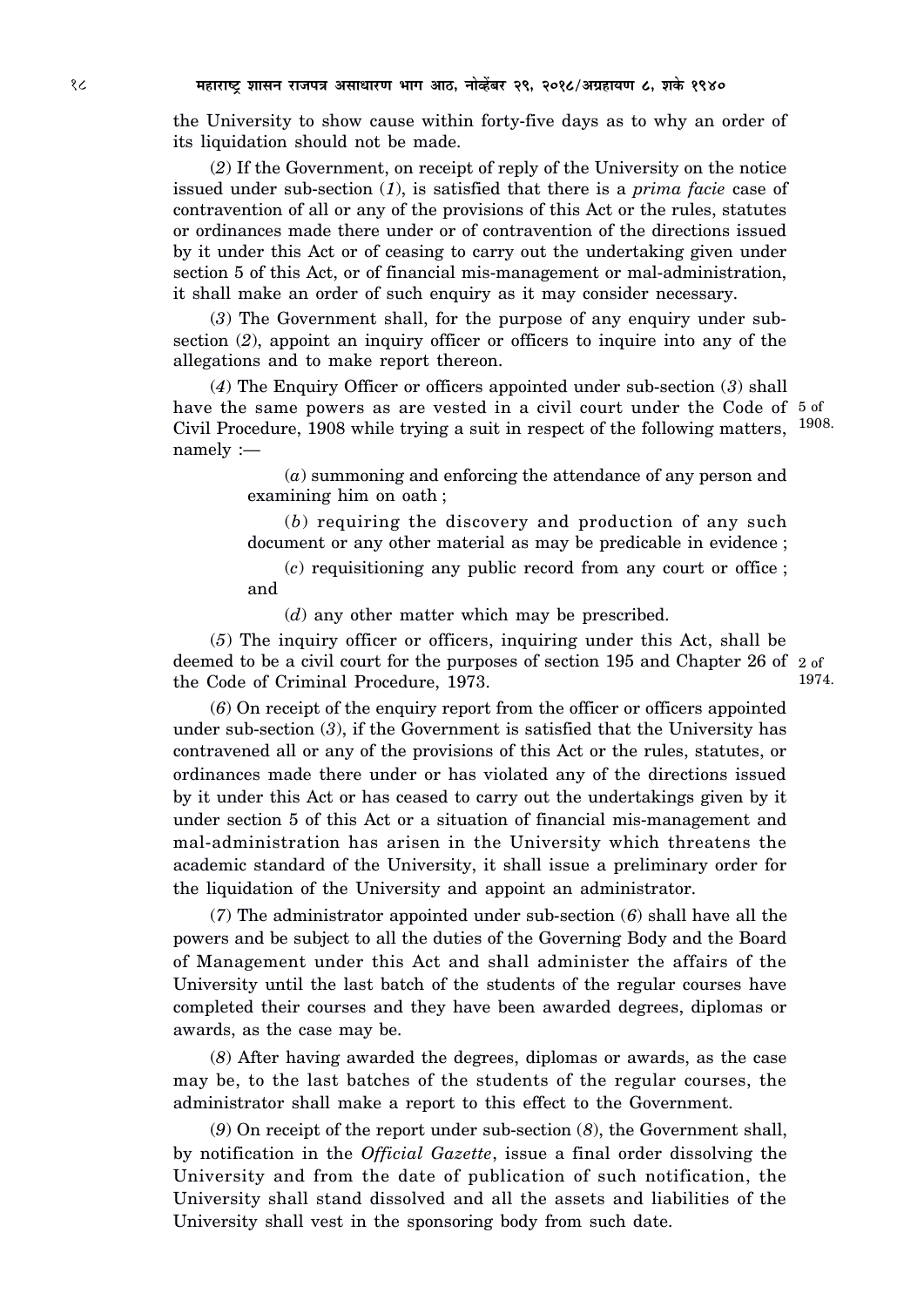the University to show cause within forty-five days as to why an order of its liquidation should not be made.

(*2*) If the Government, on receipt of reply of the University on the notice issued under sub-section (*1*), is satisfied that there is a *prima facie* case of contravention of all or any of the provisions of this Act or the rules, statutes or ordinances made there under or of contravention of the directions issued by it under this Act or of ceasing to carry out the undertaking given under section 5 of this Act, or of financial mis-management or mal-administration, it shall make an order of such enquiry as it may consider necessary.

(*3*) The Government shall, for the purpose of any enquiry under subsection (*2*), appoint an inquiry officer or officers to inquire into any of the allegations and to make report thereon.

(*4*) The Enquiry Officer or officers appointed under sub-section (*3*) shall have the same powers as are vested in a civil court under the Code of 5 of Civil Procedure, 1908 while trying a suit in respect of the following matters, <sup>1908.</sup> namely :—

> (*a*) summoning and enforcing the attendance of any person and examining him on oath ;

> (*b*) requiring the discovery and production of any such document or any other material as may be predicable in evidence ;

> (*c*) requisitioning any public record from any court or office ; and

(*d*) any other matter which may be prescribed.

(*5*) The inquiry officer or officers, inquiring under this Act, shall be deemed to be a civil court for the purposes of section 195 and Chapter 26 of 2 of the Code of Criminal Procedure, 1973. 1974.

(*6*) On receipt of the enquiry report from the officer or officers appointed under sub-section (*3*), if the Government is satisfied that the University has contravened all or any of the provisions of this Act or the rules, statutes, or ordinances made there under or has violated any of the directions issued by it under this Act or has ceased to carry out the undertakings given by it under section 5 of this Act or a situation of financial mis-management and mal-administration has arisen in the University which threatens the academic standard of the University, it shall issue a preliminary order for the liquidation of the University and appoint an administrator.

(*7*) The administrator appointed under sub-section (*6*) shall have all the powers and be subject to all the duties of the Governing Body and the Board of Management under this Act and shall administer the affairs of the University until the last batch of the students of the regular courses have completed their courses and they have been awarded degrees, diplomas or awards, as the case may be.

(*8*) After having awarded the degrees, diplomas or awards, as the case may be, to the last batches of the students of the regular courses, the administrator shall make a report to this effect to the Government.

(*9*) On receipt of the report under sub-section (*8*), the Government shall, by notification in the *Official Gazette*, issue a final order dissolving the University and from the date of publication of such notification, the University shall stand dissolved and all the assets and liabilities of the University shall vest in the sponsoring body from such date.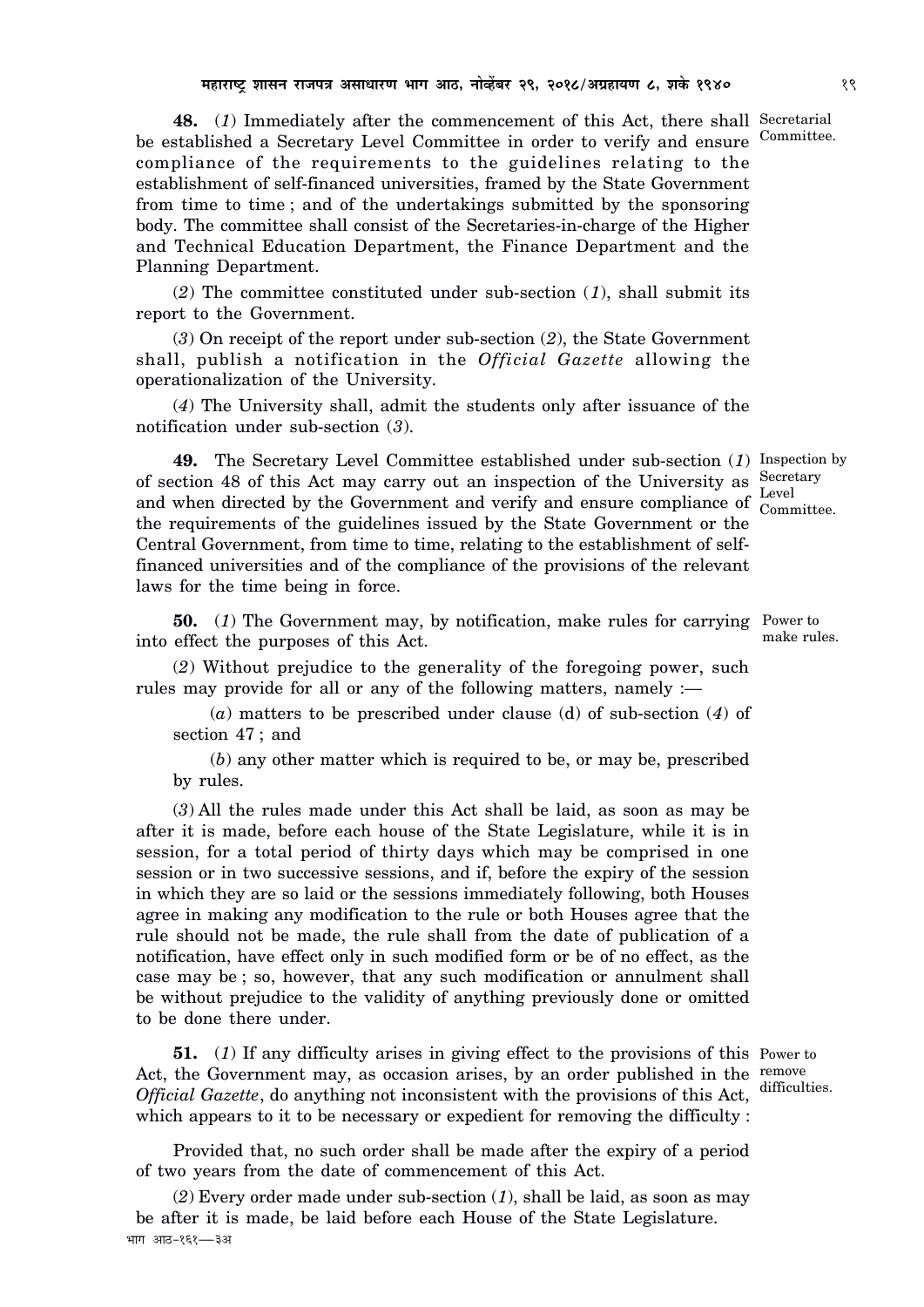**48.** (*1*) Immediately after the commencement of this Act, there shall Secretarial be established a Secretary Level Committee in order to verify and ensure compliance of the requirements to the guidelines relating to the establishment of self-financed universities, framed by the State Government from time to time ; and of the undertakings submitted by the sponsoring body. The committee shall consist of the Secretaries-in-charge of the Higher and Technical Education Department, the Finance Department and the Planning Department.

(*2*) The committee constituted under sub-section (*1*), shall submit its report to the Government.

(*3*) On receipt of the report under sub-section (*2*), the State Government shall, publish a notification in the *Official Gazette* allowing the operationalization of the University.

(*4*) The University shall, admit the students only after issuance of the notification under sub-section (*3*).

**49.** The Secretary Level Committee established under sub-section (*1*) Inspection by of section 48 of this Act may carry out an inspection of the University as  $S_{\text{correctary}}$ and when directed by the Government and verify and ensure compliance of  $\frac{\text{Level}}{\text{Compute}}$ the requirements of the guidelines issued by the State Government or the Central Government, from time to time, relating to the establishment of selffinanced universities and of the compliance of the provisions of the relevant laws for the time being in force. Committee.

**50.** (*1*) The Government may, by notification, make rules for carrying Power to into effect the purposes of this Act.

(*2*) Without prejudice to the generality of the foregoing power, such rules may provide for all or any of the following matters, namely :—

(*a*) matters to be prescribed under clause (d) of sub-section (*4*) of section 47 ; and

(*b*) any other matter which is required to be, or may be, prescribed by rules.

(*3*) All the rules made under this Act shall be laid, as soon as may be after it is made, before each house of the State Legislature, while it is in session, for a total period of thirty days which may be comprised in one session or in two successive sessions, and if, before the expiry of the session in which they are so laid or the sessions immediately following, both Houses agree in making any modification to the rule or both Houses agree that the rule should not be made, the rule shall from the date of publication of a notification, have effect only in such modified form or be of no effect, as the case may be ; so, however, that any such modification or annulment shall be without prejudice to the validity of anything previously done or omitted to be done there under.

**51.** (*1*) If any difficulty arises in giving effect to the provisions of this Power to Act, the Government may, as occasion arises, by an order published in the remove *Official Gazette*, do anything not inconsistent with the provisions of this Act, which appears to it to be necessary or expedient for removing the difficulty : difficulties.

Provided that, no such order shall be made after the expiry of a period of two years from the date of commencement of this Act.

(*2*) Every order made under sub-section (*1*), shall be laid, as soon as may be after it is made, be laid before each House of the State Legislature. भाग आठ-१६१---३अ

make rules.

Committee.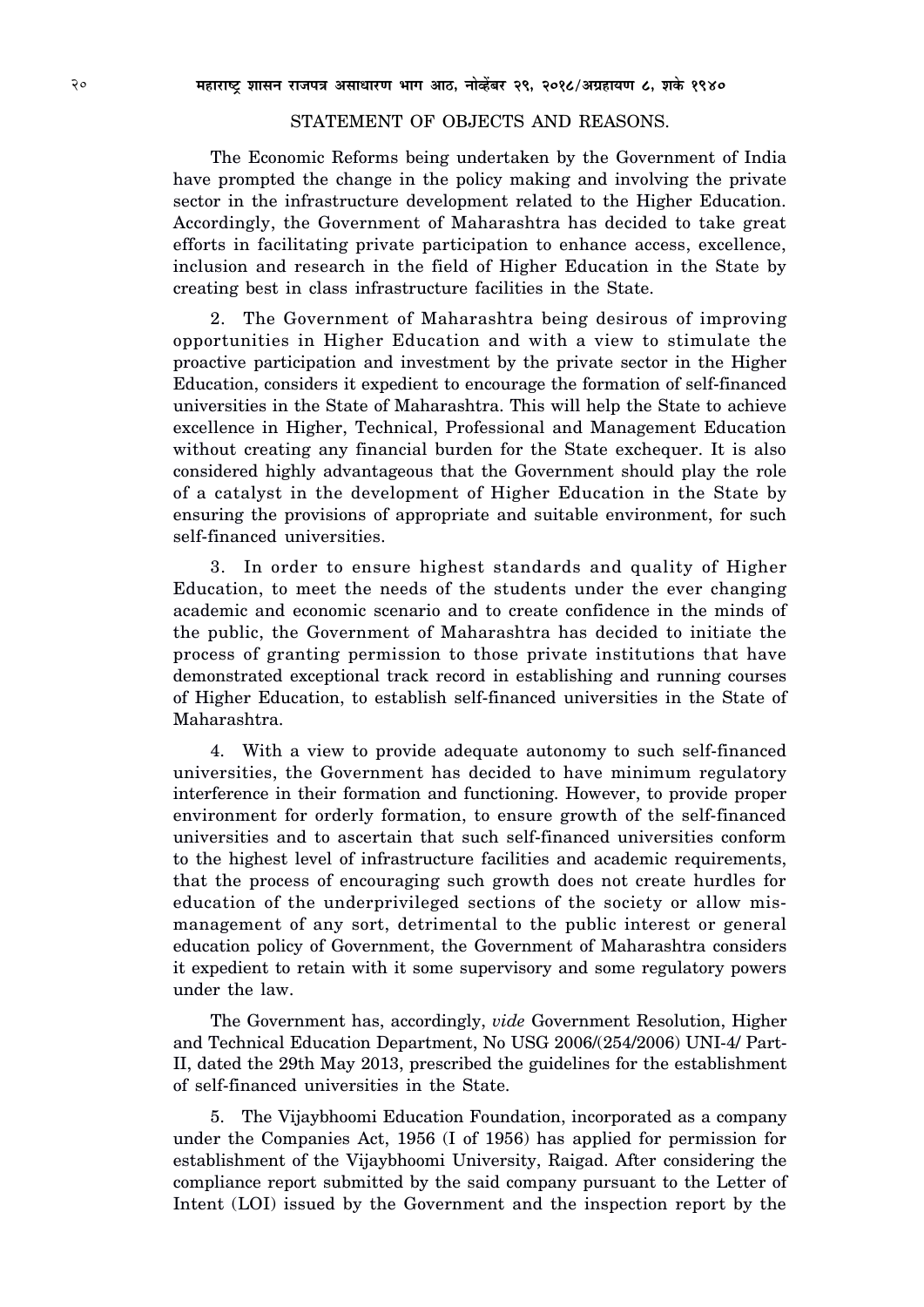#### STATEMENT OF OBJECTS AND REASONS.

The Economic Reforms being undertaken by the Government of India have prompted the change in the policy making and involving the private sector in the infrastructure development related to the Higher Education. Accordingly, the Government of Maharashtra has decided to take great efforts in facilitating private participation to enhance access, excellence, inclusion and research in the field of Higher Education in the State by creating best in class infrastructure facilities in the State.

2. The Government of Maharashtra being desirous of improving opportunities in Higher Education and with a view to stimulate the proactive participation and investment by the private sector in the Higher Education, considers it expedient to encourage the formation of self-financed universities in the State of Maharashtra. This will help the State to achieve excellence in Higher, Technical, Professional and Management Education without creating any financial burden for the State exchequer. It is also considered highly advantageous that the Government should play the role of a catalyst in the development of Higher Education in the State by ensuring the provisions of appropriate and suitable environment, for such self-financed universities.

3. In order to ensure highest standards and quality of Higher Education, to meet the needs of the students under the ever changing academic and economic scenario and to create confidence in the minds of the public, the Government of Maharashtra has decided to initiate the process of granting permission to those private institutions that have demonstrated exceptional track record in establishing and running courses of Higher Education, to establish self-financed universities in the State of Maharashtra.

4. With a view to provide adequate autonomy to such self-financed universities, the Government has decided to have minimum regulatory interference in their formation and functioning. However, to provide proper environment for orderly formation, to ensure growth of the self-financed universities and to ascertain that such self-financed universities conform to the highest level of infrastructure facilities and academic requirements, that the process of encouraging such growth does not create hurdles for education of the underprivileged sections of the society or allow mismanagement of any sort, detrimental to the public interest or general education policy of Government, the Government of Maharashtra considers it expedient to retain with it some supervisory and some regulatory powers under the law.

The Government has, accordingly, *vide* Government Resolution, Higher and Technical Education Department, No USG 2006/(254/2006) UNI-4/ Part-II, dated the 29th May 2013, prescribed the guidelines for the establishment of self-financed universities in the State.

5. The Vijaybhoomi Education Foundation, incorporated as a company under the Companies Act, 1956 (I of 1956) has applied for permission for establishment of the Vijaybhoomi University, Raigad. After considering the compliance report submitted by the said company pursuant to the Letter of Intent (LOI) issued by the Government and the inspection report by the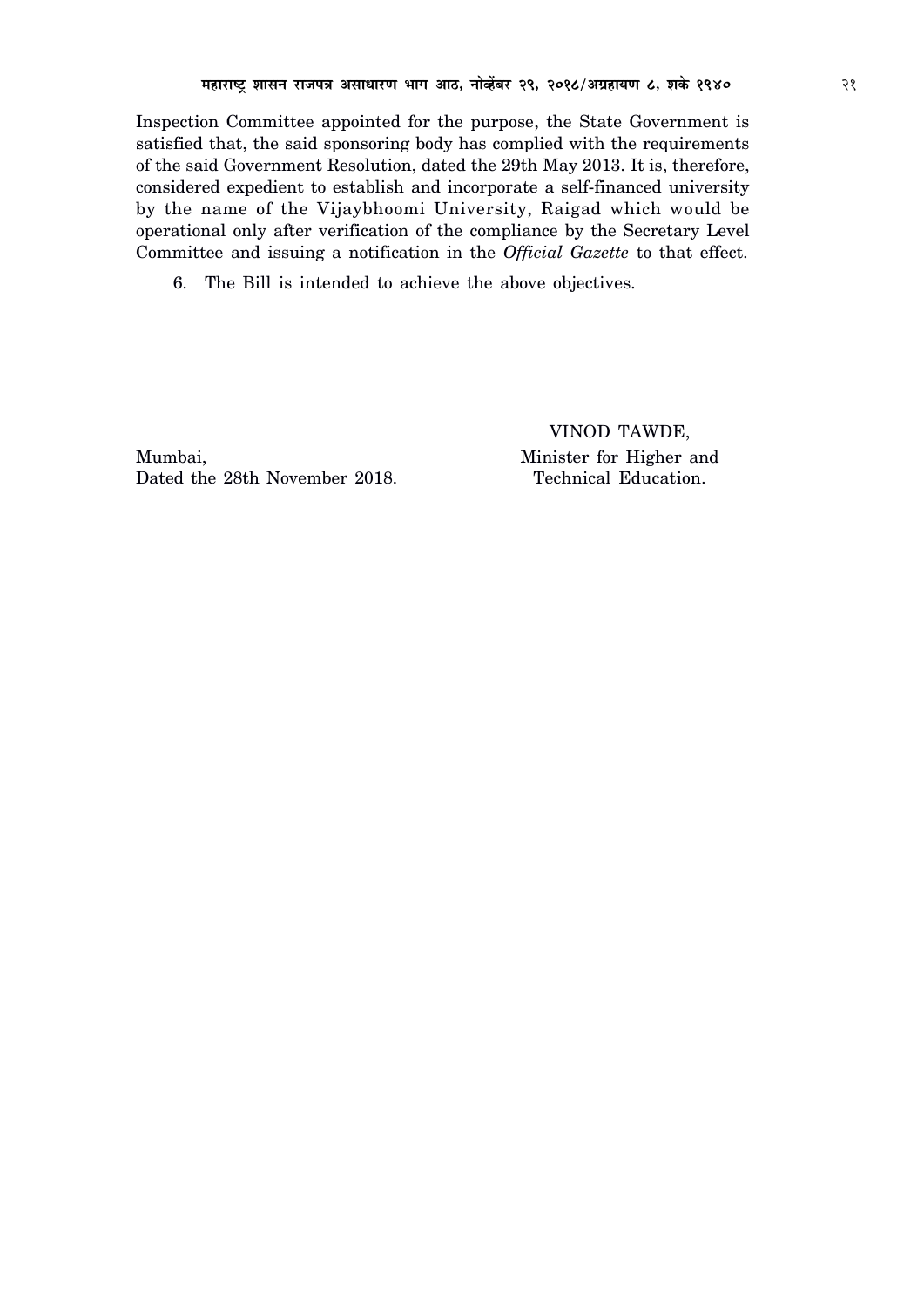Inspection Committee appointed for the purpose, the State Government is satisfied that, the said sponsoring body has complied with the requirements of the said Government Resolution, dated the 29th May 2013. It is, therefore, considered expedient to establish and incorporate a self-financed university by the name of the Vijaybhoomi University, Raigad which would be operational only after verification of the compliance by the Secretary Level Committee and issuing a notification in the *Official Gazette* to that effect.

6. The Bill is intended to achieve the above objectives.

Mumbai, Minister for Higher and Dated the 28th November 2018. Technical Education.

VINOD TAWDE,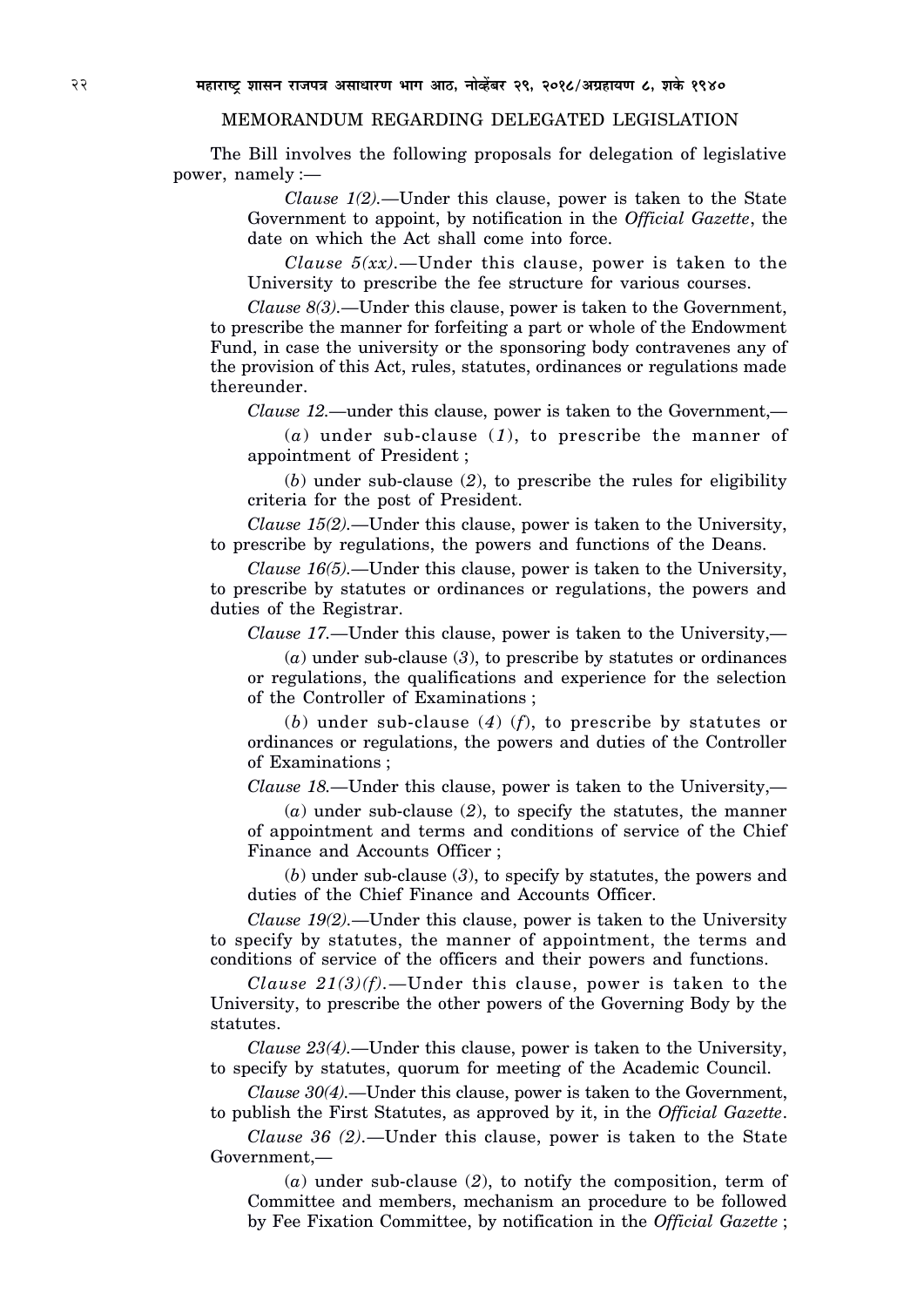#### MEMORANDUM REGARDING DELEGATED LEGISLATION

The Bill involves the following proposals for delegation of legislative power, namely :—

> *Clause 1(2).—*Under this clause, power is taken to the State Government to appoint, by notification in the *Official Gazette*, the date on which the Act shall come into force.

> *Clause 5(xx).—*Under this clause, power is taken to the University to prescribe the fee structure for various courses.

*Clause 8(3).—*Under this clause, power is taken to the Government, to prescribe the manner for forfeiting a part or whole of the Endowment Fund, in case the university or the sponsoring body contravenes any of the provision of this Act, rules, statutes, ordinances or regulations made thereunder.

*Clause 12.—*under this clause, power is taken to the Government,—

(*a*) under sub-clause (*1*), to prescribe the manner of appointment of President ;

(*b*) under sub-clause (*2*), to prescribe the rules for eligibility criteria for the post of President.

*Clause 15(2).—*Under this clause, power is taken to the University, to prescribe by regulations, the powers and functions of the Deans.

*Clause 16(5).—*Under this clause, power is taken to the University, to prescribe by statutes or ordinances or regulations, the powers and duties of the Registrar.

*Clause 17.—*Under this clause, power is taken to the University,—

(*a*) under sub-clause (*3*), to prescribe by statutes or ordinances or regulations, the qualifications and experience for the selection of the Controller of Examinations ;

(*b*) under sub-clause (*4*) (*f*), to prescribe by statutes or ordinances or regulations, the powers and duties of the Controller of Examinations ;

*Clause 18.—*Under this clause, power is taken to the University,—

(*a*) under sub-clause (*2*), to specify the statutes, the manner of appointment and terms and conditions of service of the Chief Finance and Accounts Officer ;

(*b*) under sub-clause (*3*), to specify by statutes, the powers and duties of the Chief Finance and Accounts Officer.

*Clause 19(2).—*Under this clause, power is taken to the University to specify by statutes, the manner of appointment, the terms and conditions of service of the officers and their powers and functions.

*Clause 21(3)(f).—*Under this clause, power is taken to the University, to prescribe the other powers of the Governing Body by the statutes.

*Clause 23(4).—*Under this clause, power is taken to the University, to specify by statutes, quorum for meeting of the Academic Council.

*Clause 30(4).—*Under this clause, power is taken to the Government, to publish the First Statutes, as approved by it, in the *Official Gazette*.

*Clause 36 (2).—*Under this clause, power is taken to the State Government,—

(*a*) under sub-clause (*2*), to notify the composition, term of Committee and members, mechanism an procedure to be followed by Fee Fixation Committee, by notification in the *Official Gazette* ;